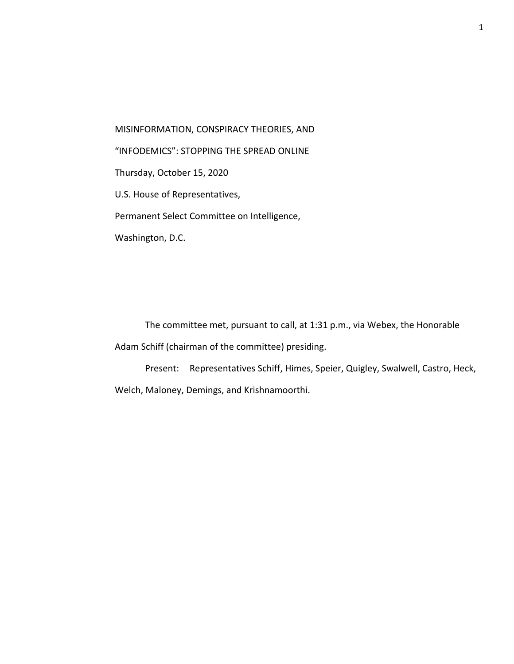MISINFORMATION, CONSPIRACY THEORIES, AND "INFODEMICS": STOPPING THE SPREAD ONLINE Thursday, October 15, 2020 U.S. House of Representatives, Permanent Select Committee on Intelligence, Washington, D.C.

The committee met, pursuant to call, at 1:31 p.m., via Webex, the Honorable Adam Schiff (chairman of the committee) presiding.

Present: Representatives Schiff, Himes, Speier, Quigley, Swalwell, Castro, Heck, Welch, Maloney, Demings, and Krishnamoorthi.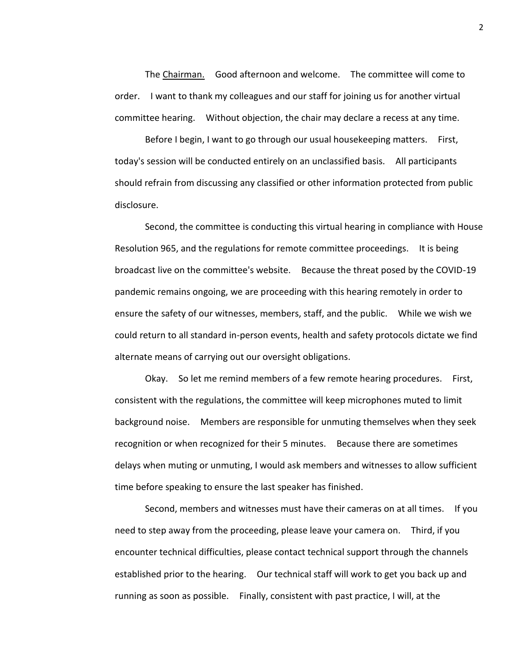The Chairman. Good afternoon and welcome. The committee will come to order. I want to thank my colleagues and our staff for joining us for another virtual committee hearing. Without objection, the chair may declare a recess at any time.

Before I begin, I want to go through our usual housekeeping matters. First, today's session will be conducted entirely on an unclassified basis. All participants should refrain from discussing any classified or other information protected from public disclosure.

Second, the committee is conducting this virtual hearing in compliance with House Resolution 965, and the regulations for remote committee proceedings. It is being broadcast live on the committee's website. Because the threat posed by the COVID-19 pandemic remains ongoing, we are proceeding with this hearing remotely in order to ensure the safety of our witnesses, members, staff, and the public. While we wish we could return to all standard in-person events, health and safety protocols dictate we find alternate means of carrying out our oversight obligations.

Okay. So let me remind members of a few remote hearing procedures. First, consistent with the regulations, the committee will keep microphones muted to limit background noise. Members are responsible for unmuting themselves when they seek recognition or when recognized for their 5 minutes. Because there are sometimes delays when muting or unmuting, I would ask members and witnesses to allow sufficient time before speaking to ensure the last speaker has finished.

Second, members and witnesses must have their cameras on at all times. If you need to step away from the proceeding, please leave your camera on. Third, if you encounter technical difficulties, please contact technical support through the channels established prior to the hearing. Our technical staff will work to get you back up and running as soon as possible. Finally, consistent with past practice, I will, at the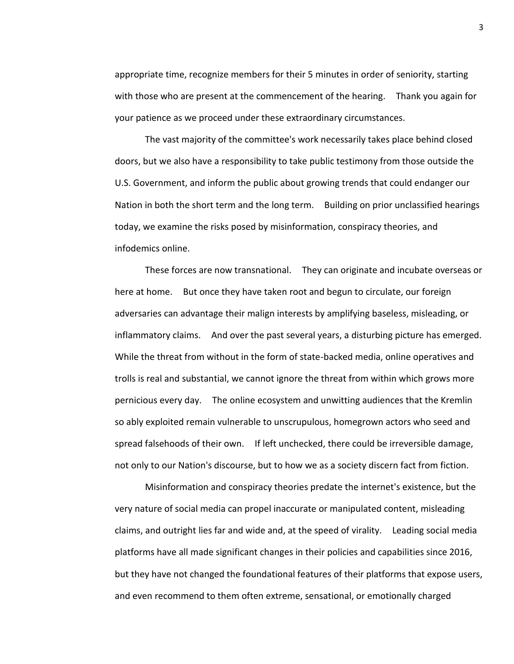appropriate time, recognize members for their 5 minutes in order of seniority, starting with those who are present at the commencement of the hearing. Thank you again for your patience as we proceed under these extraordinary circumstances.

The vast majority of the committee's work necessarily takes place behind closed doors, but we also have a responsibility to take public testimony from those outside the U.S. Government, and inform the public about growing trends that could endanger our Nation in both the short term and the long term. Building on prior unclassified hearings today, we examine the risks posed by misinformation, conspiracy theories, and infodemics online.

These forces are now transnational. They can originate and incubate overseas or here at home. But once they have taken root and begun to circulate, our foreign adversaries can advantage their malign interests by amplifying baseless, misleading, or inflammatory claims. And over the past several years, a disturbing picture has emerged. While the threat from without in the form of state-backed media, online operatives and trolls is real and substantial, we cannot ignore the threat from within which grows more pernicious every day. The online ecosystem and unwitting audiences that the Kremlin so ably exploited remain vulnerable to unscrupulous, homegrown actors who seed and spread falsehoods of their own. If left unchecked, there could be irreversible damage, not only to our Nation's discourse, but to how we as a society discern fact from fiction.

Misinformation and conspiracy theories predate the internet's existence, but the very nature of social media can propel inaccurate or manipulated content, misleading claims, and outright lies far and wide and, at the speed of virality. Leading social media platforms have all made significant changes in their policies and capabilities since 2016, but they have not changed the foundational features of their platforms that expose users, and even recommend to them often extreme, sensational, or emotionally charged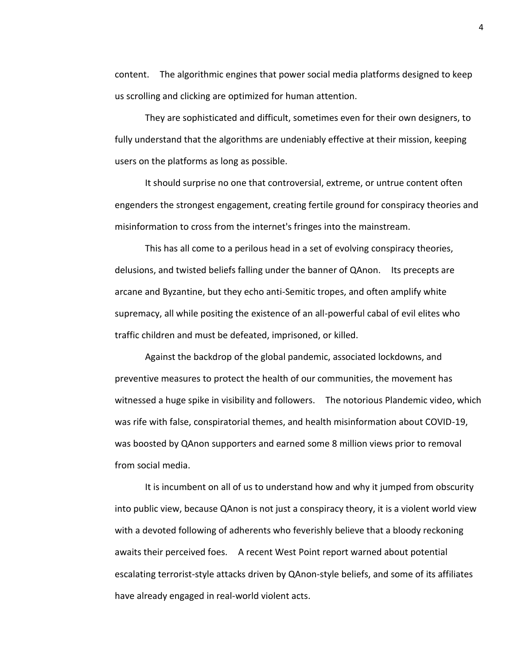content. The algorithmic engines that power social media platforms designed to keep us scrolling and clicking are optimized for human attention.

They are sophisticated and difficult, sometimes even for their own designers, to fully understand that the algorithms are undeniably effective at their mission, keeping users on the platforms as long as possible.

It should surprise no one that controversial, extreme, or untrue content often engenders the strongest engagement, creating fertile ground for conspiracy theories and misinformation to cross from the internet's fringes into the mainstream.

This has all come to a perilous head in a set of evolving conspiracy theories, delusions, and twisted beliefs falling under the banner of QAnon. Its precepts are arcane and Byzantine, but they echo anti-Semitic tropes, and often amplify white supremacy, all while positing the existence of an all-powerful cabal of evil elites who traffic children and must be defeated, imprisoned, or killed.

Against the backdrop of the global pandemic, associated lockdowns, and preventive measures to protect the health of our communities, the movement has witnessed a huge spike in visibility and followers. The notorious Plandemic video, which was rife with false, conspiratorial themes, and health misinformation about COVID-19, was boosted by QAnon supporters and earned some 8 million views prior to removal from social media.

It is incumbent on all of us to understand how and why it jumped from obscurity into public view, because QAnon is not just a conspiracy theory, it is a violent world view with a devoted following of adherents who feverishly believe that a bloody reckoning awaits their perceived foes. A recent West Point report warned about potential escalating terrorist-style attacks driven by QAnon-style beliefs, and some of its affiliates have already engaged in real-world violent acts.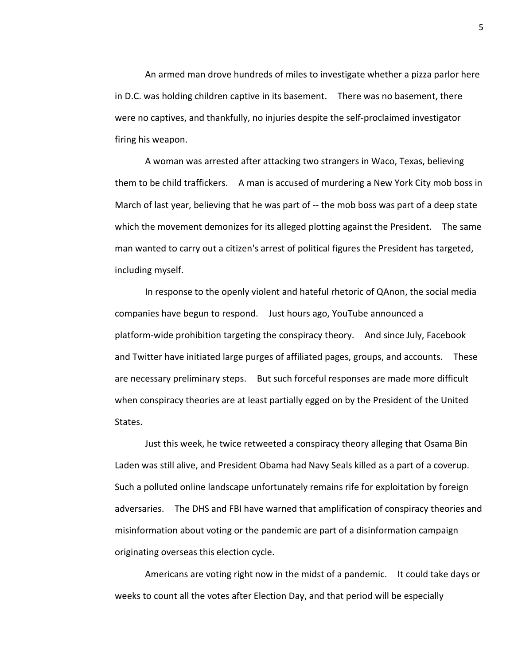An armed man drove hundreds of miles to investigate whether a pizza parlor here in D.C. was holding children captive in its basement. There was no basement, there were no captives, and thankfully, no injuries despite the self-proclaimed investigator firing his weapon.

A woman was arrested after attacking two strangers in Waco, Texas, believing them to be child traffickers. A man is accused of murdering a New York City mob boss in March of last year, believing that he was part of -- the mob boss was part of a deep state which the movement demonizes for its alleged plotting against the President. The same man wanted to carry out a citizen's arrest of political figures the President has targeted, including myself.

In response to the openly violent and hateful rhetoric of QAnon, the social media companies have begun to respond. Just hours ago, YouTube announced a platform-wide prohibition targeting the conspiracy theory. And since July, Facebook and Twitter have initiated large purges of affiliated pages, groups, and accounts. These are necessary preliminary steps. But such forceful responses are made more difficult when conspiracy theories are at least partially egged on by the President of the United States.

Just this week, he twice retweeted a conspiracy theory alleging that Osama Bin Laden was still alive, and President Obama had Navy Seals killed as a part of a coverup. Such a polluted online landscape unfortunately remains rife for exploitation by foreign adversaries. The DHS and FBI have warned that amplification of conspiracy theories and misinformation about voting or the pandemic are part of a disinformation campaign originating overseas this election cycle.

Americans are voting right now in the midst of a pandemic. It could take days or weeks to count all the votes after Election Day, and that period will be especially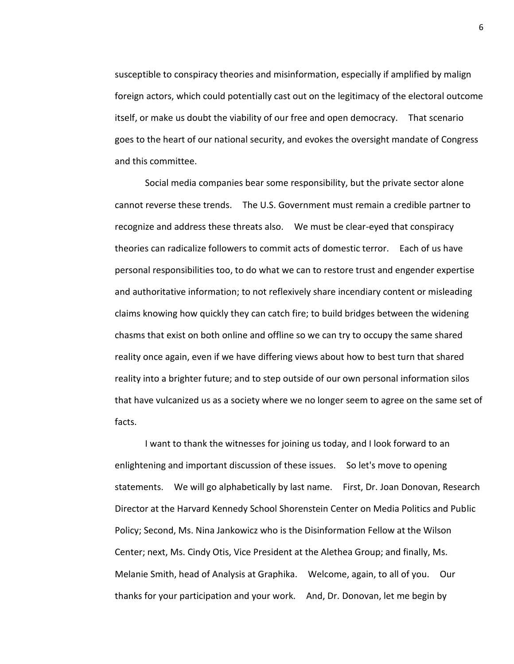susceptible to conspiracy theories and misinformation, especially if amplified by malign foreign actors, which could potentially cast out on the legitimacy of the electoral outcome itself, or make us doubt the viability of our free and open democracy. That scenario goes to the heart of our national security, and evokes the oversight mandate of Congress and this committee.

Social media companies bear some responsibility, but the private sector alone cannot reverse these trends. The U.S. Government must remain a credible partner to recognize and address these threats also. We must be clear-eyed that conspiracy theories can radicalize followers to commit acts of domestic terror. Each of us have personal responsibilities too, to do what we can to restore trust and engender expertise and authoritative information; to not reflexively share incendiary content or misleading claims knowing how quickly they can catch fire; to build bridges between the widening chasms that exist on both online and offline so we can try to occupy the same shared reality once again, even if we have differing views about how to best turn that shared reality into a brighter future; and to step outside of our own personal information silos that have vulcanized us as a society where we no longer seem to agree on the same set of facts.

I want to thank the witnesses for joining us today, and I look forward to an enlightening and important discussion of these issues. So let's move to opening statements. We will go alphabetically by last name. First, Dr. Joan Donovan, Research Director at the Harvard Kennedy School Shorenstein Center on Media Politics and Public Policy; Second, Ms. Nina Jankowicz who is the Disinformation Fellow at the Wilson Center; next, Ms. Cindy Otis, Vice President at the Alethea Group; and finally, Ms. Melanie Smith, head of Analysis at Graphika. Welcome, again, to all of you. Our thanks for your participation and your work. And, Dr. Donovan, let me begin by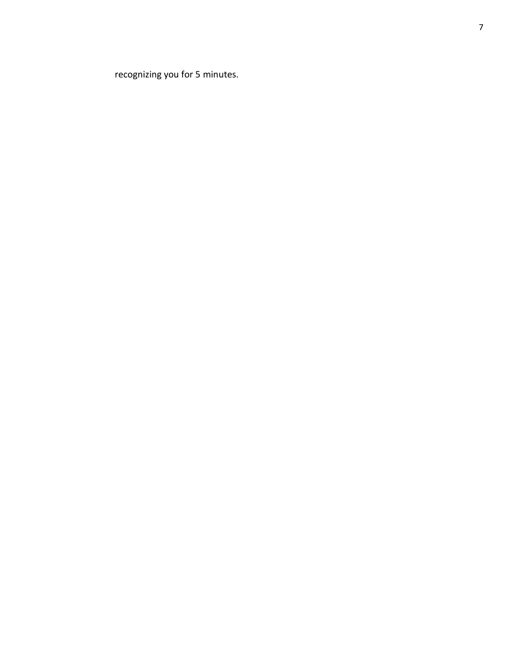recognizing you for 5 minutes.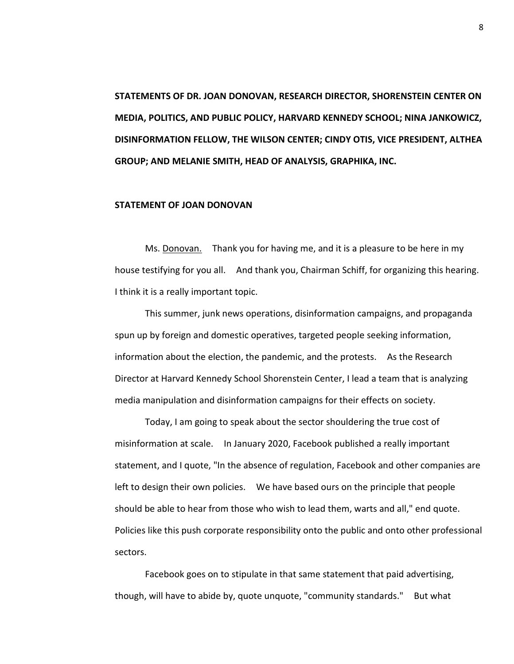**STATEMENTS OF DR. JOAN DONOVAN, RESEARCH DIRECTOR, SHORENSTEIN CENTER ON MEDIA, POLITICS, AND PUBLIC POLICY, HARVARD KENNEDY SCHOOL; NINA JANKOWICZ, DISINFORMATION FELLOW, THE WILSON CENTER; CINDY OTIS, VICE PRESIDENT, ALTHEA GROUP; AND MELANIE SMITH, HEAD OF ANALYSIS, GRAPHIKA, INC.**

# **STATEMENT OF JOAN DONOVAN**

Ms. Donovan. Thank you for having me, and it is a pleasure to be here in my house testifying for you all. And thank you, Chairman Schiff, for organizing this hearing. I think it is a really important topic.

This summer, junk news operations, disinformation campaigns, and propaganda spun up by foreign and domestic operatives, targeted people seeking information, information about the election, the pandemic, and the protests. As the Research Director at Harvard Kennedy School Shorenstein Center, I lead a team that is analyzing media manipulation and disinformation campaigns for their effects on society.

Today, I am going to speak about the sector shouldering the true cost of misinformation at scale. In January 2020, Facebook published a really important statement, and I quote, "In the absence of regulation, Facebook and other companies are left to design their own policies. We have based ours on the principle that people should be able to hear from those who wish to lead them, warts and all," end quote. Policies like this push corporate responsibility onto the public and onto other professional sectors.

Facebook goes on to stipulate in that same statement that paid advertising, though, will have to abide by, quote unquote, "community standards." But what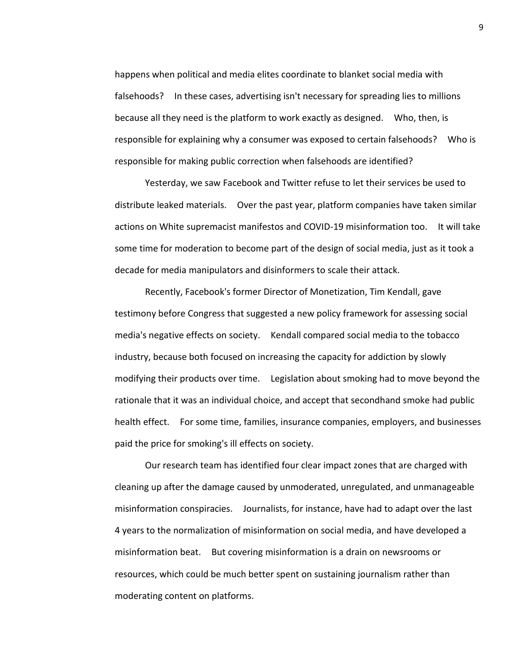happens when political and media elites coordinate to blanket social media with falsehoods? In these cases, advertising isn't necessary for spreading lies to millions because all they need is the platform to work exactly as designed. Who, then, is responsible for explaining why a consumer was exposed to certain falsehoods? Who is responsible for making public correction when falsehoods are identified?

Yesterday, we saw Facebook and Twitter refuse to let their services be used to distribute leaked materials. Over the past year, platform companies have taken similar actions on White supremacist manifestos and COVID-19 misinformation too. It will take some time for moderation to become part of the design of social media, just as it took a decade for media manipulators and disinformers to scale their attack.

Recently, Facebook's former Director of Monetization, Tim Kendall, gave testimony before Congress that suggested a new policy framework for assessing social media's negative effects on society. Kendall compared social media to the tobacco industry, because both focused on increasing the capacity for addiction by slowly modifying their products over time. Legislation about smoking had to move beyond the rationale that it was an individual choice, and accept that secondhand smoke had public health effect. For some time, families, insurance companies, employers, and businesses paid the price for smoking's ill effects on society.

Our research team has identified four clear impact zones that are charged with cleaning up after the damage caused by unmoderated, unregulated, and unmanageable misinformation conspiracies. Journalists, for instance, have had to adapt over the last 4 years to the normalization of misinformation on social media, and have developed a misinformation beat. But covering misinformation is a drain on newsrooms or resources, which could be much better spent on sustaining journalism rather than moderating content on platforms.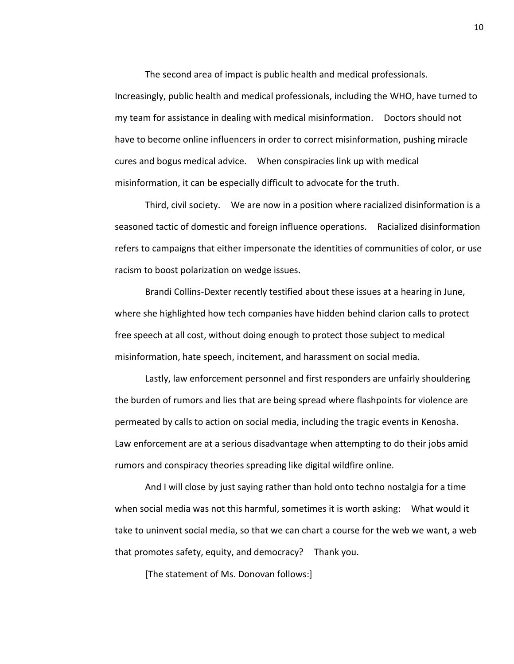The second area of impact is public health and medical professionals. Increasingly, public health and medical professionals, including the WHO, have turned to my team for assistance in dealing with medical misinformation. Doctors should not have to become online influencers in order to correct misinformation, pushing miracle cures and bogus medical advice. When conspiracies link up with medical misinformation, it can be especially difficult to advocate for the truth.

Third, civil society. We are now in a position where racialized disinformation is a seasoned tactic of domestic and foreign influence operations. Racialized disinformation refers to campaigns that either impersonate the identities of communities of color, or use racism to boost polarization on wedge issues.

Brandi Collins-Dexter recently testified about these issues at a hearing in June, where she highlighted how tech companies have hidden behind clarion calls to protect free speech at all cost, without doing enough to protect those subject to medical misinformation, hate speech, incitement, and harassment on social media.

Lastly, law enforcement personnel and first responders are unfairly shouldering the burden of rumors and lies that are being spread where flashpoints for violence are permeated by calls to action on social media, including the tragic events in Kenosha. Law enforcement are at a serious disadvantage when attempting to do their jobs amid rumors and conspiracy theories spreading like digital wildfire online.

And I will close by just saying rather than hold onto techno nostalgia for a time when social media was not this harmful, sometimes it is worth asking: What would it take to uninvent social media, so that we can chart a course for the web we want, a web that promotes safety, equity, and democracy? Thank you.

[The statement of Ms. Donovan follows:]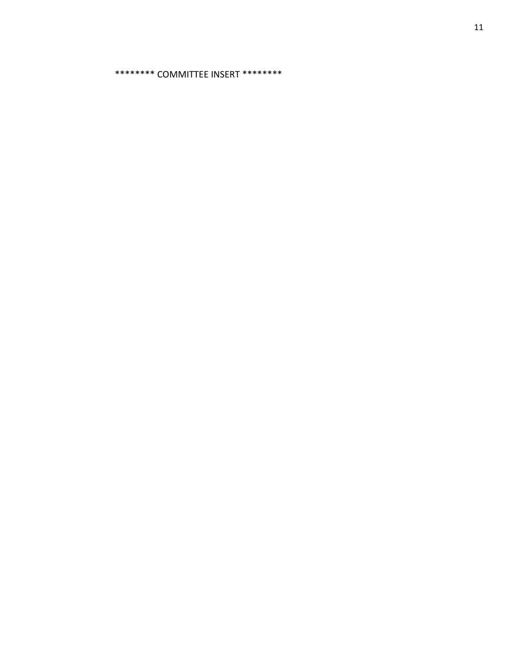\*\*\*\*\*\*\*\* COMMITTEE INSERT \*\*\*\*\*\*\*\*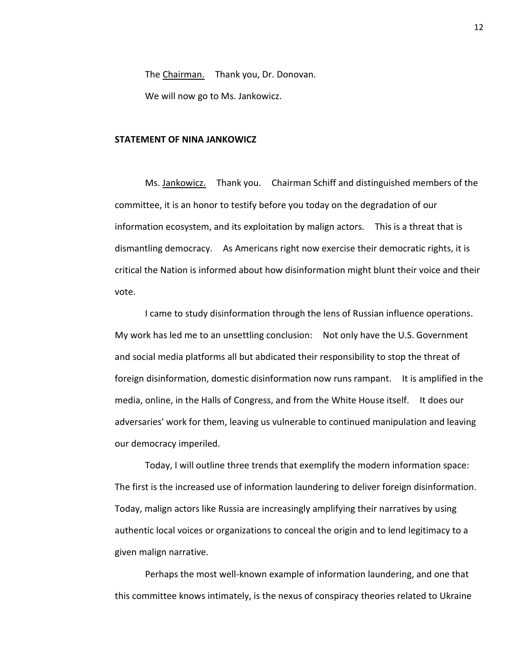The Chairman. Thank you, Dr. Donovan.

We will now go to Ms. Jankowicz.

#### **STATEMENT OF NINA JANKOWICZ**

Ms. Jankowicz. Thank you. Chairman Schiff and distinguished members of the committee, it is an honor to testify before you today on the degradation of our information ecosystem, and its exploitation by malign actors. This is a threat that is dismantling democracy. As Americans right now exercise their democratic rights, it is critical the Nation is informed about how disinformation might blunt their voice and their vote.

I came to study disinformation through the lens of Russian influence operations. My work has led me to an unsettling conclusion: Not only have the U.S. Government and social media platforms all but abdicated their responsibility to stop the threat of foreign disinformation, domestic disinformation now runs rampant. It is amplified in the media, online, in the Halls of Congress, and from the White House itself. It does our adversaries' work for them, leaving us vulnerable to continued manipulation and leaving our democracy imperiled.

Today, I will outline three trends that exemplify the modern information space: The first is the increased use of information laundering to deliver foreign disinformation. Today, malign actors like Russia are increasingly amplifying their narratives by using authentic local voices or organizations to conceal the origin and to lend legitimacy to a given malign narrative.

Perhaps the most well-known example of information laundering, and one that this committee knows intimately, is the nexus of conspiracy theories related to Ukraine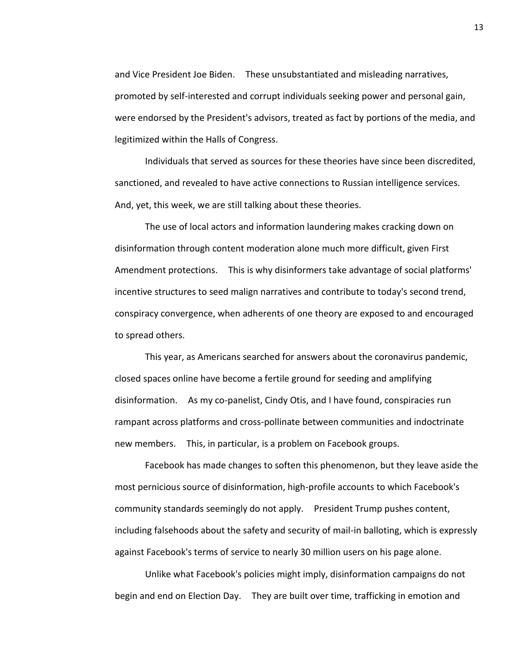and Vice President Joe Biden. These unsubstantiated and misleading narratives, promoted by self-interested and corrupt individuals seeking power and personal gain, were endorsed by the President's advisors, treated as fact by portions of the media, and legitimized within the Halls of Congress.

Individuals that served as sources for these theories have since been discredited, sanctioned, and revealed to have active connections to Russian intelligence services. And, yet, this week, we are still talking about these theories.

The use of local actors and information laundering makes cracking down on disinformation through content moderation alone much more difficult, given First Amendment protections. This is why disinformers take advantage of social platforms' incentive structures to seed malign narratives and contribute to today's second trend, conspiracy convergence, when adherents of one theory are exposed to and encouraged to spread others.

This year, as Americans searched for answers about the coronavirus pandemic, closed spaces online have become a fertile ground for seeding and amplifying disinformation. As my co-panelist, Cindy Otis, and I have found, conspiracies run rampant across platforms and cross-pollinate between communities and indoctrinate new members. This, in particular, is a problem on Facebook groups.

Facebook has made changes to soften this phenomenon, but they leave aside the most pernicious source of disinformation, high-profile accounts to which Facebook's community standards seemingly do not apply. President Trump pushes content, including falsehoods about the safety and security of mail-in balloting, which is expressly against Facebook's terms of service to nearly 30 million users on his page alone.

Unlike what Facebook's policies might imply, disinformation campaigns do not begin and end on Election Day. They are built over time, trafficking in emotion and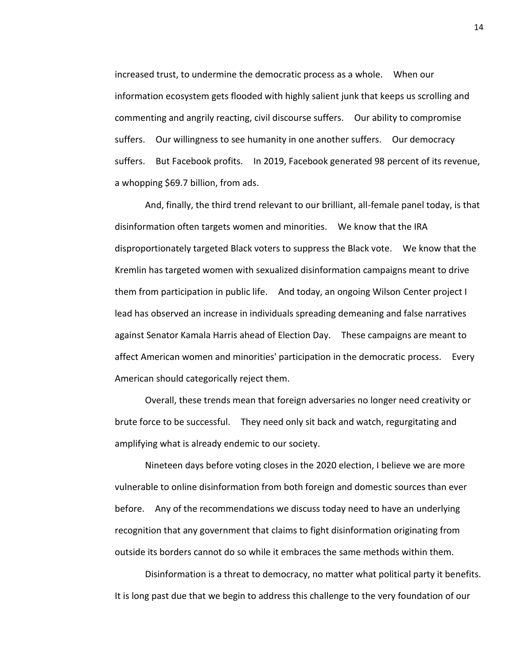increased trust, to undermine the democratic process as a whole. When our information ecosystem gets flooded with highly salient junk that keeps us scrolling and commenting and angrily reacting, civil discourse suffers. Our ability to compromise suffers. Our willingness to see humanity in one another suffers. Our democracy suffers. But Facebook profits. In 2019, Facebook generated 98 percent of its revenue, a whopping \$69.7 billion, from ads.

And, finally, the third trend relevant to our brilliant, all-female panel today, is that disinformation often targets women and minorities. We know that the IRA disproportionately targeted Black voters to suppress the Black vote. We know that the Kremlin has targeted women with sexualized disinformation campaigns meant to drive them from participation in public life. And today, an ongoing Wilson Center project I lead has observed an increase in individuals spreading demeaning and false narratives against Senator Kamala Harris ahead of Election Day. These campaigns are meant to affect American women and minorities' participation in the democratic process. Every American should categorically reject them.

Overall, these trends mean that foreign adversaries no longer need creativity or brute force to be successful. They need only sit back and watch, regurgitating and amplifying what is already endemic to our society.

Nineteen days before voting closes in the 2020 election, I believe we are more vulnerable to online disinformation from both foreign and domestic sources than ever before. Any of the recommendations we discuss today need to have an underlying recognition that any government that claims to fight disinformation originating from outside its borders cannot do so while it embraces the same methods within them.

Disinformation is a threat to democracy, no matter what political party it benefits. It is long past due that we begin to address this challenge to the very foundation of our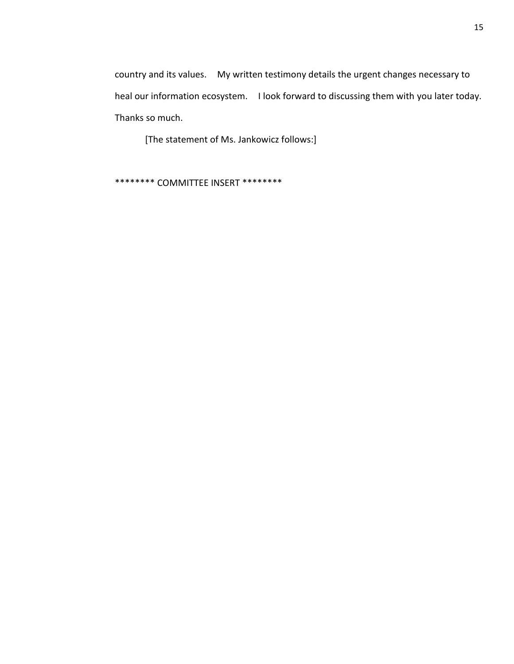country and its values. My written testimony details the urgent changes necessary to heal our information ecosystem. I look forward to discussing them with you later today. Thanks so much.

[The statement of Ms. Jankowicz follows:]

\*\*\*\*\*\*\*\* COMMITTEE INSERT \*\*\*\*\*\*\*\*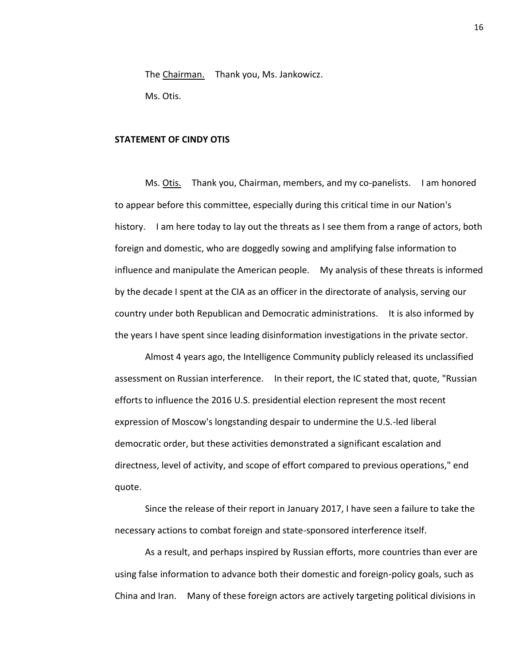The Chairman. Thank you, Ms. Jankowicz. Ms. Otis.

## **STATEMENT OF CINDY OTIS**

Ms. Otis. Thank you, Chairman, members, and my co-panelists. I am honored to appear before this committee, especially during this critical time in our Nation's history. I am here today to lay out the threats as I see them from a range of actors, both foreign and domestic, who are doggedly sowing and amplifying false information to influence and manipulate the American people. My analysis of these threats is informed by the decade I spent at the CIA as an officer in the directorate of analysis, serving our country under both Republican and Democratic administrations. It is also informed by the years I have spent since leading disinformation investigations in the private sector.

Almost 4 years ago, the Intelligence Community publicly released its unclassified assessment on Russian interference. In their report, the IC stated that, quote, "Russian efforts to influence the 2016 U.S. presidential election represent the most recent expression of Moscow's longstanding despair to undermine the U.S.-led liberal democratic order, but these activities demonstrated a significant escalation and directness, level of activity, and scope of effort compared to previous operations," end quote.

Since the release of their report in January 2017, I have seen a failure to take the necessary actions to combat foreign and state-sponsored interference itself.

As a result, and perhaps inspired by Russian efforts, more countries than ever are using false information to advance both their domestic and foreign-policy goals, such as China and Iran. Many of these foreign actors are actively targeting political divisions in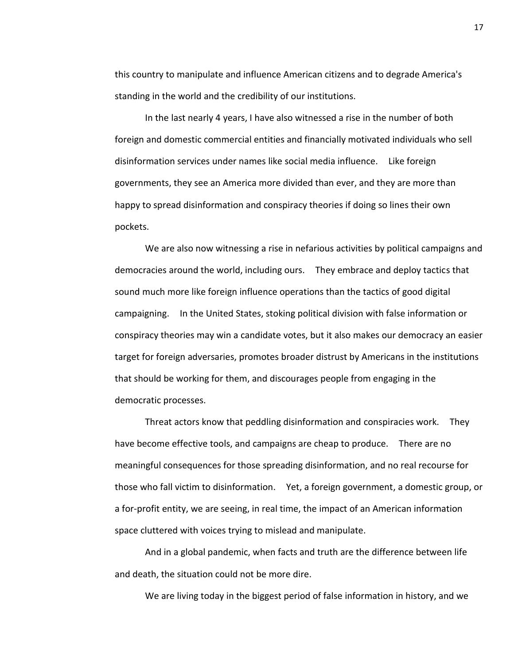this country to manipulate and influence American citizens and to degrade America's standing in the world and the credibility of our institutions.

In the last nearly 4 years, I have also witnessed a rise in the number of both foreign and domestic commercial entities and financially motivated individuals who sell disinformation services under names like social media influence. Like foreign governments, they see an America more divided than ever, and they are more than happy to spread disinformation and conspiracy theories if doing so lines their own pockets.

We are also now witnessing a rise in nefarious activities by political campaigns and democracies around the world, including ours. They embrace and deploy tactics that sound much more like foreign influence operations than the tactics of good digital campaigning. In the United States, stoking political division with false information or conspiracy theories may win a candidate votes, but it also makes our democracy an easier target for foreign adversaries, promotes broader distrust by Americans in the institutions that should be working for them, and discourages people from engaging in the democratic processes.

Threat actors know that peddling disinformation and conspiracies work. They have become effective tools, and campaigns are cheap to produce. There are no meaningful consequences for those spreading disinformation, and no real recourse for those who fall victim to disinformation. Yet, a foreign government, a domestic group, or a for-profit entity, we are seeing, in real time, the impact of an American information space cluttered with voices trying to mislead and manipulate.

And in a global pandemic, when facts and truth are the difference between life and death, the situation could not be more dire.

We are living today in the biggest period of false information in history, and we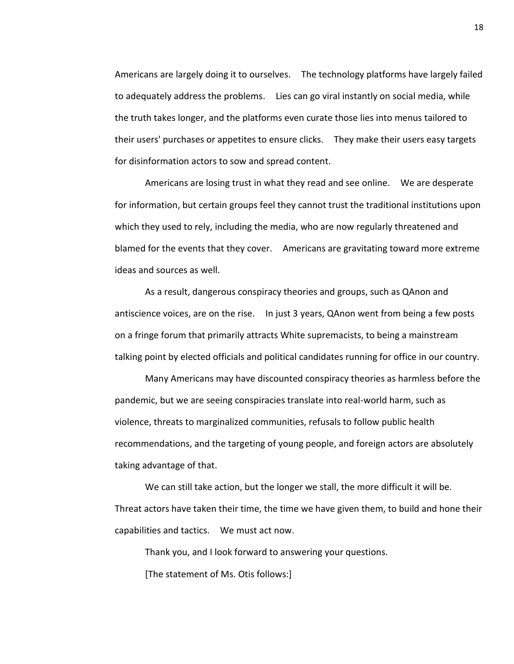Americans are largely doing it to ourselves. The technology platforms have largely failed to adequately address the problems. Lies can go viral instantly on social media, while the truth takes longer, and the platforms even curate those lies into menus tailored to their users' purchases or appetites to ensure clicks. They make their users easy targets for disinformation actors to sow and spread content.

Americans are losing trust in what they read and see online. We are desperate for information, but certain groups feel they cannot trust the traditional institutions upon which they used to rely, including the media, who are now regularly threatened and blamed for the events that they cover. Americans are gravitating toward more extreme ideas and sources as well.

As a result, dangerous conspiracy theories and groups, such as QAnon and antiscience voices, are on the rise. In just 3 years, QAnon went from being a few posts on a fringe forum that primarily attracts White supremacists, to being a mainstream talking point by elected officials and political candidates running for office in our country.

Many Americans may have discounted conspiracy theories as harmless before the pandemic, but we are seeing conspiracies translate into real-world harm, such as violence, threats to marginalized communities, refusals to follow public health recommendations, and the targeting of young people, and foreign actors are absolutely taking advantage of that.

We can still take action, but the longer we stall, the more difficult it will be. Threat actors have taken their time, the time we have given them, to build and hone their capabilities and tactics. We must act now.

Thank you, and I look forward to answering your questions.

[The statement of Ms. Otis follows:]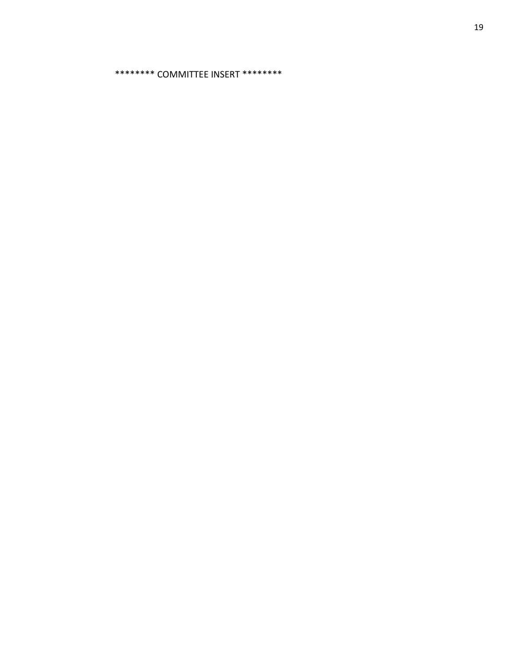\*\*\*\*\*\*\*\* COMMITTEE INSERT \*\*\*\*\*\*\*\*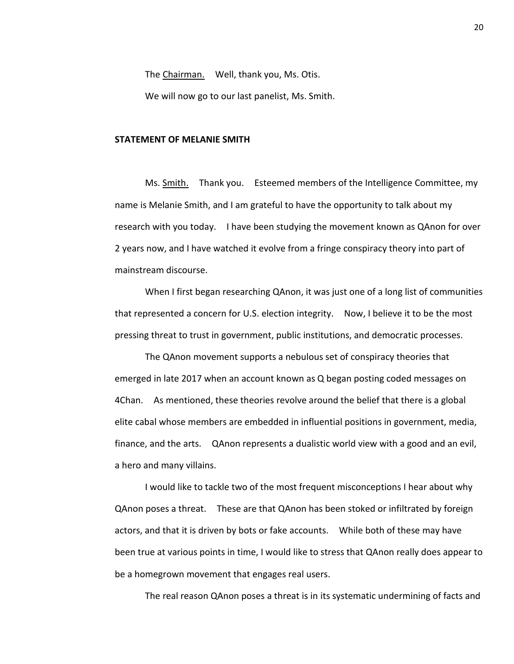The Chairman. Well, thank you, Ms. Otis.

We will now go to our last panelist, Ms. Smith.

## **STATEMENT OF MELANIE SMITH**

Ms. Smith. Thank you. Esteemed members of the Intelligence Committee, my name is Melanie Smith, and I am grateful to have the opportunity to talk about my research with you today. I have been studying the movement known as QAnon for over 2 years now, and I have watched it evolve from a fringe conspiracy theory into part of mainstream discourse.

When I first began researching QAnon, it was just one of a long list of communities that represented a concern for U.S. election integrity. Now, I believe it to be the most pressing threat to trust in government, public institutions, and democratic processes.

The QAnon movement supports a nebulous set of conspiracy theories that emerged in late 2017 when an account known as Q began posting coded messages on 4Chan. As mentioned, these theories revolve around the belief that there is a global elite cabal whose members are embedded in influential positions in government, media, finance, and the arts. QAnon represents a dualistic world view with a good and an evil, a hero and many villains.

I would like to tackle two of the most frequent misconceptions I hear about why QAnon poses a threat. These are that QAnon has been stoked or infiltrated by foreign actors, and that it is driven by bots or fake accounts. While both of these may have been true at various points in time, I would like to stress that QAnon really does appear to be a homegrown movement that engages real users.

The real reason QAnon poses a threat is in its systematic undermining of facts and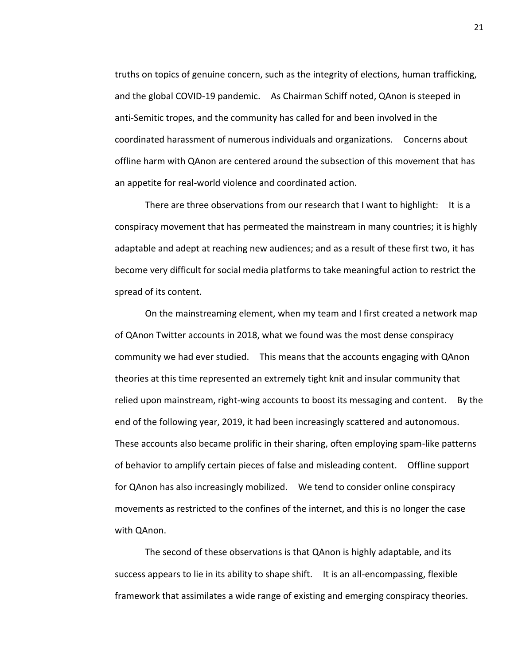truths on topics of genuine concern, such as the integrity of elections, human trafficking, and the global COVID-19 pandemic. As Chairman Schiff noted, QAnon is steeped in anti-Semitic tropes, and the community has called for and been involved in the coordinated harassment of numerous individuals and organizations. Concerns about offline harm with QAnon are centered around the subsection of this movement that has an appetite for real-world violence and coordinated action.

There are three observations from our research that I want to highlight: It is a conspiracy movement that has permeated the mainstream in many countries; it is highly adaptable and adept at reaching new audiences; and as a result of these first two, it has become very difficult for social media platforms to take meaningful action to restrict the spread of its content.

On the mainstreaming element, when my team and I first created a network map of QAnon Twitter accounts in 2018, what we found was the most dense conspiracy community we had ever studied. This means that the accounts engaging with QAnon theories at this time represented an extremely tight knit and insular community that relied upon mainstream, right-wing accounts to boost its messaging and content. By the end of the following year, 2019, it had been increasingly scattered and autonomous. These accounts also became prolific in their sharing, often employing spam-like patterns of behavior to amplify certain pieces of false and misleading content. Offline support for QAnon has also increasingly mobilized. We tend to consider online conspiracy movements as restricted to the confines of the internet, and this is no longer the case with QAnon.

The second of these observations is that QAnon is highly adaptable, and its success appears to lie in its ability to shape shift. It is an all-encompassing, flexible framework that assimilates a wide range of existing and emerging conspiracy theories.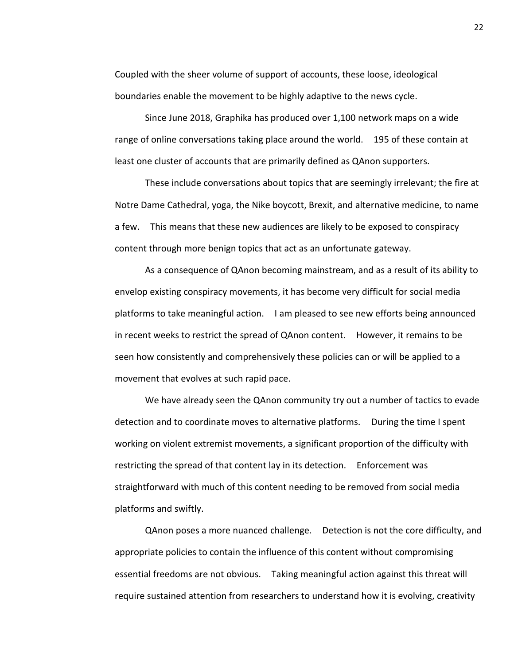Coupled with the sheer volume of support of accounts, these loose, ideological boundaries enable the movement to be highly adaptive to the news cycle.

Since June 2018, Graphika has produced over 1,100 network maps on a wide range of online conversations taking place around the world. 195 of these contain at least one cluster of accounts that are primarily defined as QAnon supporters.

These include conversations about topics that are seemingly irrelevant; the fire at Notre Dame Cathedral, yoga, the Nike boycott, Brexit, and alternative medicine, to name a few. This means that these new audiences are likely to be exposed to conspiracy content through more benign topics that act as an unfortunate gateway.

As a consequence of QAnon becoming mainstream, and as a result of its ability to envelop existing conspiracy movements, it has become very difficult for social media platforms to take meaningful action. I am pleased to see new efforts being announced in recent weeks to restrict the spread of QAnon content. However, it remains to be seen how consistently and comprehensively these policies can or will be applied to a movement that evolves at such rapid pace.

We have already seen the QAnon community try out a number of tactics to evade detection and to coordinate moves to alternative platforms. During the time I spent working on violent extremist movements, a significant proportion of the difficulty with restricting the spread of that content lay in its detection. Enforcement was straightforward with much of this content needing to be removed from social media platforms and swiftly.

QAnon poses a more nuanced challenge. Detection is not the core difficulty, and appropriate policies to contain the influence of this content without compromising essential freedoms are not obvious. Taking meaningful action against this threat will require sustained attention from researchers to understand how it is evolving, creativity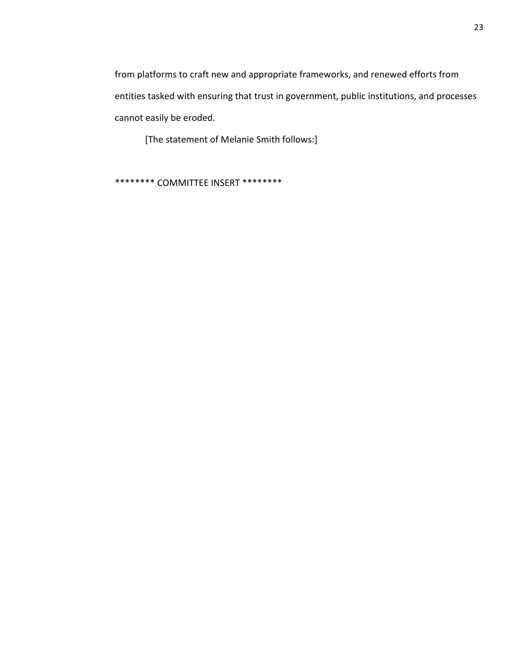from platforms to craft new and appropriate frameworks, and renewed efforts from entities tasked with ensuring that trust in government, public institutions, and processes cannot easily be eroded.

[The statement of Melanie Smith follows:]

\*\*\*\*\*\*\*\* COMMITTEE INSERT \*\*\*\*\*\*\*\*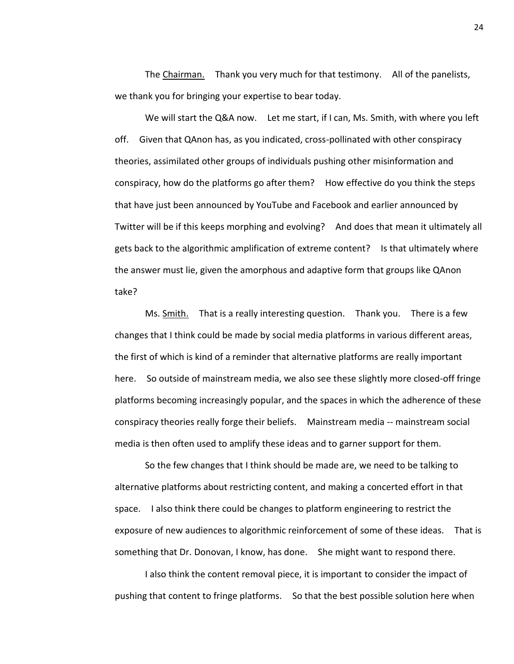The Chairman. Thank you very much for that testimony. All of the panelists, we thank you for bringing your expertise to bear today.

We will start the Q&A now. Let me start, if I can, Ms. Smith, with where you left off. Given that QAnon has, as you indicated, cross-pollinated with other conspiracy theories, assimilated other groups of individuals pushing other misinformation and conspiracy, how do the platforms go after them? How effective do you think the steps that have just been announced by YouTube and Facebook and earlier announced by Twitter will be if this keeps morphing and evolving? And does that mean it ultimately all gets back to the algorithmic amplification of extreme content? Is that ultimately where the answer must lie, given the amorphous and adaptive form that groups like QAnon take?

Ms. Smith. That is a really interesting question. Thank you. There is a few changes that I think could be made by social media platforms in various different areas, the first of which is kind of a reminder that alternative platforms are really important here. So outside of mainstream media, we also see these slightly more closed-off fringe platforms becoming increasingly popular, and the spaces in which the adherence of these conspiracy theories really forge their beliefs. Mainstream media -- mainstream social media is then often used to amplify these ideas and to garner support for them.

So the few changes that I think should be made are, we need to be talking to alternative platforms about restricting content, and making a concerted effort in that space. I also think there could be changes to platform engineering to restrict the exposure of new audiences to algorithmic reinforcement of some of these ideas. That is something that Dr. Donovan, I know, has done. She might want to respond there.

I also think the content removal piece, it is important to consider the impact of pushing that content to fringe platforms. So that the best possible solution here when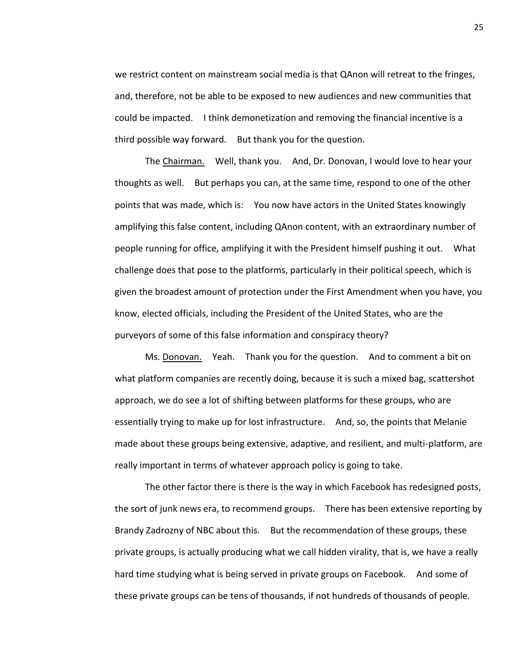we restrict content on mainstream social media is that QAnon will retreat to the fringes, and, therefore, not be able to be exposed to new audiences and new communities that could be impacted. I think demonetization and removing the financial incentive is a third possible way forward. But thank you for the question.

The Chairman. Well, thank you. And, Dr. Donovan, I would love to hear your thoughts as well. But perhaps you can, at the same time, respond to one of the other points that was made, which is: You now have actors in the United States knowingly amplifying this false content, including QAnon content, with an extraordinary number of people running for office, amplifying it with the President himself pushing it out. What challenge does that pose to the platforms, particularly in their political speech, which is given the broadest amount of protection under the First Amendment when you have, you know, elected officials, including the President of the United States, who are the purveyors of some of this false information and conspiracy theory?

Ms. Donovan. Yeah. Thank you for the question. And to comment a bit on what platform companies are recently doing, because it is such a mixed bag, scattershot approach, we do see a lot of shifting between platforms for these groups, who are essentially trying to make up for lost infrastructure. And, so, the points that Melanie made about these groups being extensive, adaptive, and resilient, and multi-platform, are really important in terms of whatever approach policy is going to take.

The other factor there is there is the way in which Facebook has redesigned posts, the sort of junk news era, to recommend groups. There has been extensive reporting by Brandy Zadrozny of NBC about this. But the recommendation of these groups, these private groups, is actually producing what we call hidden virality, that is, we have a really hard time studying what is being served in private groups on Facebook. And some of these private groups can be tens of thousands, if not hundreds of thousands of people.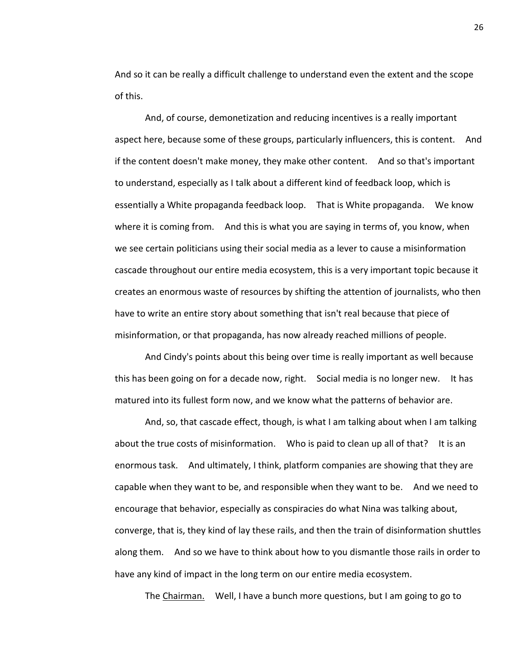And so it can be really a difficult challenge to understand even the extent and the scope of this.

And, of course, demonetization and reducing incentives is a really important aspect here, because some of these groups, particularly influencers, this is content. And if the content doesn't make money, they make other content. And so that's important to understand, especially as I talk about a different kind of feedback loop, which is essentially a White propaganda feedback loop. That is White propaganda. We know where it is coming from. And this is what you are saying in terms of, you know, when we see certain politicians using their social media as a lever to cause a misinformation cascade throughout our entire media ecosystem, this is a very important topic because it creates an enormous waste of resources by shifting the attention of journalists, who then have to write an entire story about something that isn't real because that piece of misinformation, or that propaganda, has now already reached millions of people.

And Cindy's points about this being over time is really important as well because this has been going on for a decade now, right. Social media is no longer new. It has matured into its fullest form now, and we know what the patterns of behavior are.

And, so, that cascade effect, though, is what I am talking about when I am talking about the true costs of misinformation. Who is paid to clean up all of that? It is an enormous task. And ultimately, I think, platform companies are showing that they are capable when they want to be, and responsible when they want to be. And we need to encourage that behavior, especially as conspiracies do what Nina was talking about, converge, that is, they kind of lay these rails, and then the train of disinformation shuttles along them. And so we have to think about how to you dismantle those rails in order to have any kind of impact in the long term on our entire media ecosystem.

The Chairman. Well, I have a bunch more questions, but I am going to go to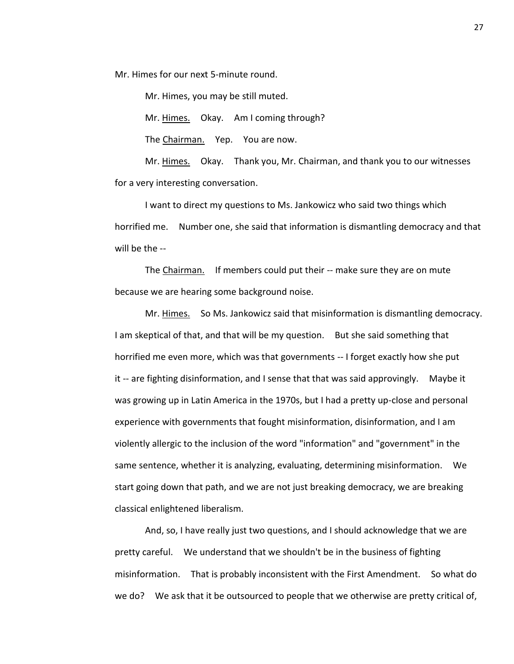Mr. Himes for our next 5-minute round.

Mr. Himes, you may be still muted.

Mr. Himes. Okay. Am I coming through?

The Chairman. Yep. You are now.

Mr. Himes. Okay. Thank you, Mr. Chairman, and thank you to our witnesses for a very interesting conversation.

I want to direct my questions to Ms. Jankowicz who said two things which horrified me. Number one, she said that information is dismantling democracy and that will be the --

The Chairman. If members could put their -- make sure they are on mute because we are hearing some background noise.

Mr. Himes. So Ms. Jankowicz said that misinformation is dismantling democracy. I am skeptical of that, and that will be my question. But she said something that horrified me even more, which was that governments -- I forget exactly how she put it -- are fighting disinformation, and I sense that that was said approvingly. Maybe it was growing up in Latin America in the 1970s, but I had a pretty up-close and personal experience with governments that fought misinformation, disinformation, and I am violently allergic to the inclusion of the word "information" and "government" in the same sentence, whether it is analyzing, evaluating, determining misinformation. We start going down that path, and we are not just breaking democracy, we are breaking classical enlightened liberalism.

And, so, I have really just two questions, and I should acknowledge that we are pretty careful. We understand that we shouldn't be in the business of fighting misinformation. That is probably inconsistent with the First Amendment. So what do we do? We ask that it be outsourced to people that we otherwise are pretty critical of,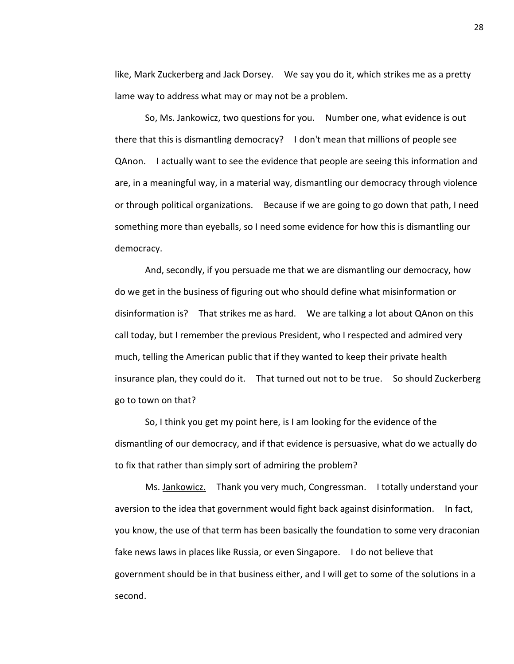like, Mark Zuckerberg and Jack Dorsey. We say you do it, which strikes me as a pretty lame way to address what may or may not be a problem.

So, Ms. Jankowicz, two questions for you. Number one, what evidence is out there that this is dismantling democracy? I don't mean that millions of people see QAnon. I actually want to see the evidence that people are seeing this information and are, in a meaningful way, in a material way, dismantling our democracy through violence or through political organizations. Because if we are going to go down that path, I need something more than eyeballs, so I need some evidence for how this is dismantling our democracy.

And, secondly, if you persuade me that we are dismantling our democracy, how do we get in the business of figuring out who should define what misinformation or disinformation is? That strikes me as hard. We are talking a lot about QAnon on this call today, but I remember the previous President, who I respected and admired very much, telling the American public that if they wanted to keep their private health insurance plan, they could do it. That turned out not to be true. So should Zuckerberg go to town on that?

So, I think you get my point here, is I am looking for the evidence of the dismantling of our democracy, and if that evidence is persuasive, what do we actually do to fix that rather than simply sort of admiring the problem?

Ms. Jankowicz. Thank you very much, Congressman. I totally understand your aversion to the idea that government would fight back against disinformation. In fact, you know, the use of that term has been basically the foundation to some very draconian fake news laws in places like Russia, or even Singapore. I do not believe that government should be in that business either, and I will get to some of the solutions in a second.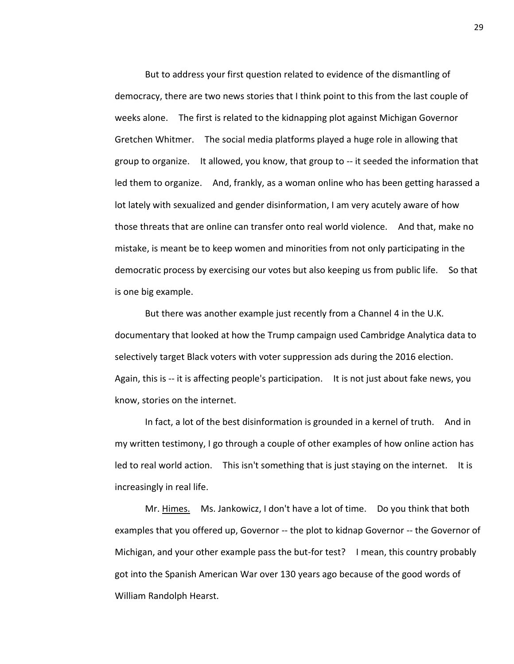But to address your first question related to evidence of the dismantling of democracy, there are two news stories that I think point to this from the last couple of weeks alone. The first is related to the kidnapping plot against Michigan Governor Gretchen Whitmer. The social media platforms played a huge role in allowing that group to organize. It allowed, you know, that group to -- it seeded the information that led them to organize. And, frankly, as a woman online who has been getting harassed a lot lately with sexualized and gender disinformation, I am very acutely aware of how those threats that are online can transfer onto real world violence. And that, make no mistake, is meant be to keep women and minorities from not only participating in the democratic process by exercising our votes but also keeping us from public life. So that is one big example.

But there was another example just recently from a Channel 4 in the U.K. documentary that looked at how the Trump campaign used Cambridge Analytica data to selectively target Black voters with voter suppression ads during the 2016 election. Again, this is -- it is affecting people's participation. It is not just about fake news, you know, stories on the internet.

In fact, a lot of the best disinformation is grounded in a kernel of truth. And in my written testimony, I go through a couple of other examples of how online action has led to real world action. This isn't something that is just staying on the internet. It is increasingly in real life.

Mr. Himes. Ms. Jankowicz, I don't have a lot of time. Do you think that both examples that you offered up, Governor -- the plot to kidnap Governor -- the Governor of Michigan, and your other example pass the but-for test? I mean, this country probably got into the Spanish American War over 130 years ago because of the good words of William Randolph Hearst.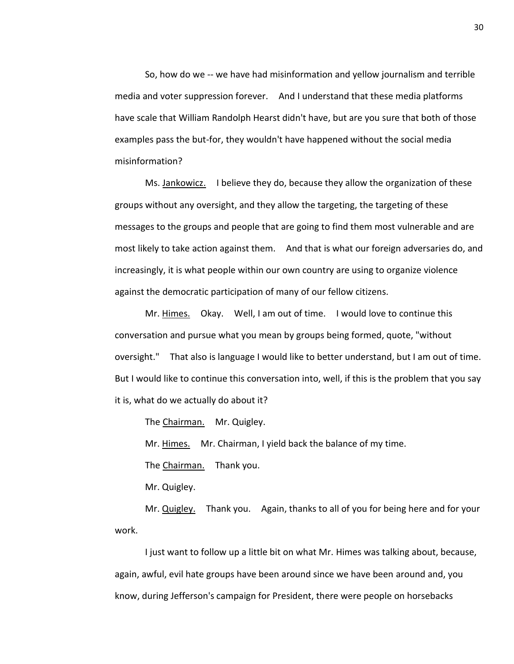So, how do we -- we have had misinformation and yellow journalism and terrible media and voter suppression forever. And I understand that these media platforms have scale that William Randolph Hearst didn't have, but are you sure that both of those examples pass the but-for, they wouldn't have happened without the social media misinformation?

Ms. Jankowicz. I believe they do, because they allow the organization of these groups without any oversight, and they allow the targeting, the targeting of these messages to the groups and people that are going to find them most vulnerable and are most likely to take action against them. And that is what our foreign adversaries do, and increasingly, it is what people within our own country are using to organize violence against the democratic participation of many of our fellow citizens.

Mr. Himes. Okay. Well, I am out of time. I would love to continue this conversation and pursue what you mean by groups being formed, quote, "without oversight." That also is language I would like to better understand, but I am out of time. But I would like to continue this conversation into, well, if this is the problem that you say it is, what do we actually do about it?

The Chairman. Mr. Quigley.

Mr. Himes. Mr. Chairman, I yield back the balance of my time.

The Chairman. Thank you.

Mr. Quigley.

Mr. Quigley. Thank you. Again, thanks to all of you for being here and for your work.

I just want to follow up a little bit on what Mr. Himes was talking about, because, again, awful, evil hate groups have been around since we have been around and, you know, during Jefferson's campaign for President, there were people on horsebacks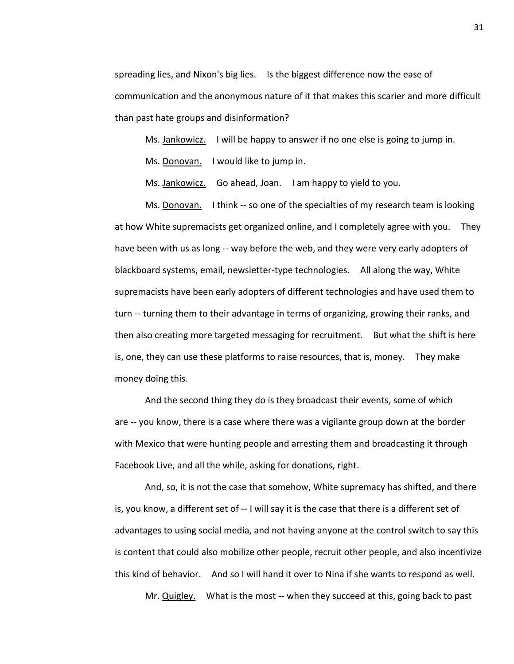spreading lies, and Nixon's big lies. Is the biggest difference now the ease of communication and the anonymous nature of it that makes this scarier and more difficult than past hate groups and disinformation?

Ms. Jankowicz. I will be happy to answer if no one else is going to jump in.

Ms. Donovan. I would like to jump in.

Ms. Jankowicz. Go ahead, Joan. I am happy to yield to you.

Ms. Donovan. I think -- so one of the specialties of my research team is looking at how White supremacists get organized online, and I completely agree with you. They have been with us as long -- way before the web, and they were very early adopters of blackboard systems, email, newsletter-type technologies. All along the way, White supremacists have been early adopters of different technologies and have used them to turn -- turning them to their advantage in terms of organizing, growing their ranks, and then also creating more targeted messaging for recruitment. But what the shift is here is, one, they can use these platforms to raise resources, that is, money. They make money doing this.

And the second thing they do is they broadcast their events, some of which are -- you know, there is a case where there was a vigilante group down at the border with Mexico that were hunting people and arresting them and broadcasting it through Facebook Live, and all the while, asking for donations, right.

And, so, it is not the case that somehow, White supremacy has shifted, and there is, you know, a different set of -- I will say it is the case that there is a different set of advantages to using social media, and not having anyone at the control switch to say this is content that could also mobilize other people, recruit other people, and also incentivize this kind of behavior. And so I will hand it over to Nina if she wants to respond as well.

Mr. Quigley. What is the most -- when they succeed at this, going back to past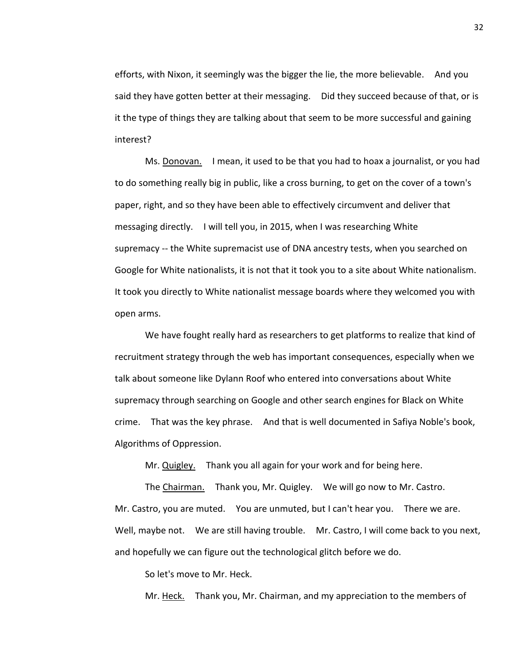efforts, with Nixon, it seemingly was the bigger the lie, the more believable. And you said they have gotten better at their messaging. Did they succeed because of that, or is it the type of things they are talking about that seem to be more successful and gaining interest?

Ms. Donovan. I mean, it used to be that you had to hoax a journalist, or you had to do something really big in public, like a cross burning, to get on the cover of a town's paper, right, and so they have been able to effectively circumvent and deliver that messaging directly. I will tell you, in 2015, when I was researching White supremacy -- the White supremacist use of DNA ancestry tests, when you searched on Google for White nationalists, it is not that it took you to a site about White nationalism. It took you directly to White nationalist message boards where they welcomed you with open arms.

We have fought really hard as researchers to get platforms to realize that kind of recruitment strategy through the web has important consequences, especially when we talk about someone like Dylann Roof who entered into conversations about White supremacy through searching on Google and other search engines for Black on White crime. That was the key phrase. And that is well documented in Safiya Noble's book, Algorithms of Oppression.

Mr. Quigley. Thank you all again for your work and for being here.

The Chairman. Thank you, Mr. Quigley. We will go now to Mr. Castro. Mr. Castro, you are muted. You are unmuted, but I can't hear you. There we are. Well, maybe not. We are still having trouble. Mr. Castro, I will come back to you next, and hopefully we can figure out the technological glitch before we do.

So let's move to Mr. Heck.

Mr. Heck. Thank you, Mr. Chairman, and my appreciation to the members of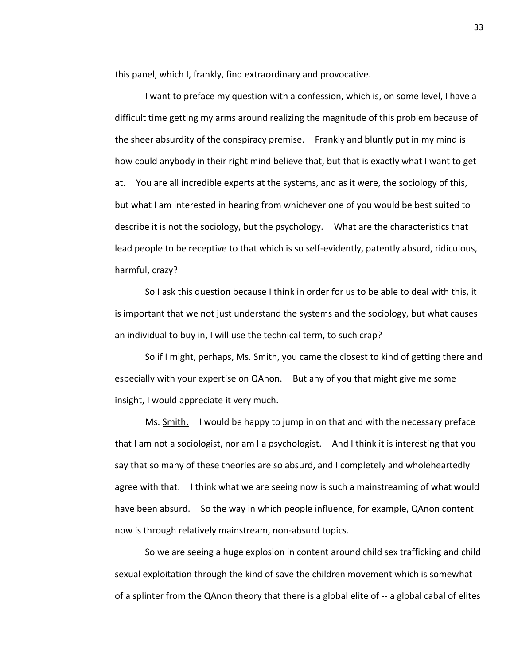this panel, which I, frankly, find extraordinary and provocative.

I want to preface my question with a confession, which is, on some level, I have a difficult time getting my arms around realizing the magnitude of this problem because of the sheer absurdity of the conspiracy premise. Frankly and bluntly put in my mind is how could anybody in their right mind believe that, but that is exactly what I want to get at. You are all incredible experts at the systems, and as it were, the sociology of this, but what I am interested in hearing from whichever one of you would be best suited to describe it is not the sociology, but the psychology. What are the characteristics that lead people to be receptive to that which is so self-evidently, patently absurd, ridiculous, harmful, crazy?

So I ask this question because I think in order for us to be able to deal with this, it is important that we not just understand the systems and the sociology, but what causes an individual to buy in, I will use the technical term, to such crap?

So if I might, perhaps, Ms. Smith, you came the closest to kind of getting there and especially with your expertise on QAnon. But any of you that might give me some insight, I would appreciate it very much.

Ms. Smith. I would be happy to jump in on that and with the necessary preface that I am not a sociologist, nor am I a psychologist. And I think it is interesting that you say that so many of these theories are so absurd, and I completely and wholeheartedly agree with that. I think what we are seeing now is such a mainstreaming of what would have been absurd. So the way in which people influence, for example, QAnon content now is through relatively mainstream, non-absurd topics.

So we are seeing a huge explosion in content around child sex trafficking and child sexual exploitation through the kind of save the children movement which is somewhat of a splinter from the QAnon theory that there is a global elite of -- a global cabal of elites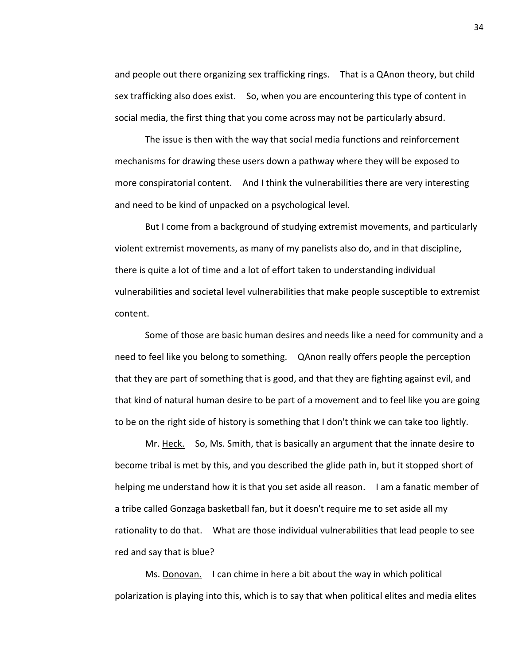and people out there organizing sex trafficking rings. That is a QAnon theory, but child sex trafficking also does exist. So, when you are encountering this type of content in social media, the first thing that you come across may not be particularly absurd.

The issue is then with the way that social media functions and reinforcement mechanisms for drawing these users down a pathway where they will be exposed to more conspiratorial content. And I think the vulnerabilities there are very interesting and need to be kind of unpacked on a psychological level.

But I come from a background of studying extremist movements, and particularly violent extremist movements, as many of my panelists also do, and in that discipline, there is quite a lot of time and a lot of effort taken to understanding individual vulnerabilities and societal level vulnerabilities that make people susceptible to extremist content.

Some of those are basic human desires and needs like a need for community and a need to feel like you belong to something. QAnon really offers people the perception that they are part of something that is good, and that they are fighting against evil, and that kind of natural human desire to be part of a movement and to feel like you are going to be on the right side of history is something that I don't think we can take too lightly.

Mr. Heck. So, Ms. Smith, that is basically an argument that the innate desire to become tribal is met by this, and you described the glide path in, but it stopped short of helping me understand how it is that you set aside all reason. I am a fanatic member of a tribe called Gonzaga basketball fan, but it doesn't require me to set aside all my rationality to do that. What are those individual vulnerabilities that lead people to see red and say that is blue?

Ms. Donovan. I can chime in here a bit about the way in which political polarization is playing into this, which is to say that when political elites and media elites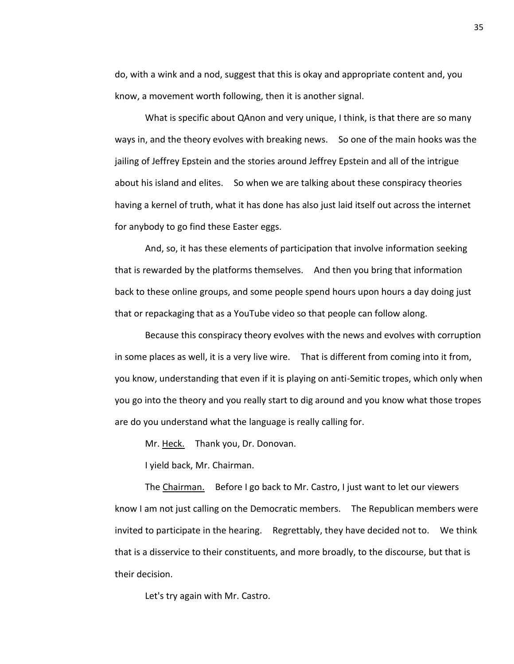do, with a wink and a nod, suggest that this is okay and appropriate content and, you know, a movement worth following, then it is another signal.

What is specific about QAnon and very unique, I think, is that there are so many ways in, and the theory evolves with breaking news. So one of the main hooks was the jailing of Jeffrey Epstein and the stories around Jeffrey Epstein and all of the intrigue about his island and elites. So when we are talking about these conspiracy theories having a kernel of truth, what it has done has also just laid itself out across the internet for anybody to go find these Easter eggs.

And, so, it has these elements of participation that involve information seeking that is rewarded by the platforms themselves. And then you bring that information back to these online groups, and some people spend hours upon hours a day doing just that or repackaging that as a YouTube video so that people can follow along.

Because this conspiracy theory evolves with the news and evolves with corruption in some places as well, it is a very live wire. That is different from coming into it from, you know, understanding that even if it is playing on anti-Semitic tropes, which only when you go into the theory and you really start to dig around and you know what those tropes are do you understand what the language is really calling for.

Mr. Heck. Thank you, Dr. Donovan.

I yield back, Mr. Chairman.

The Chairman. Before I go back to Mr. Castro, I just want to let our viewers know I am not just calling on the Democratic members. The Republican members were invited to participate in the hearing. Regrettably, they have decided not to. We think that is a disservice to their constituents, and more broadly, to the discourse, but that is their decision.

Let's try again with Mr. Castro.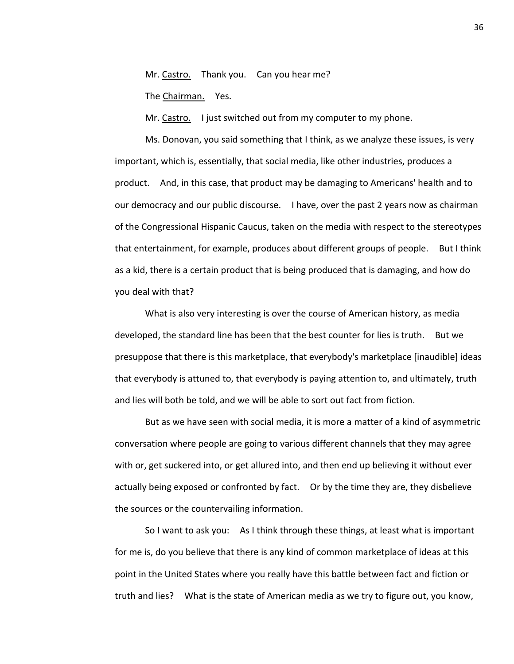Mr. Castro. Thank you. Can you hear me?

The Chairman. Yes.

Mr. Castro. I just switched out from my computer to my phone.

Ms. Donovan, you said something that I think, as we analyze these issues, is very important, which is, essentially, that social media, like other industries, produces a product. And, in this case, that product may be damaging to Americans' health and to our democracy and our public discourse. I have, over the past 2 years now as chairman of the Congressional Hispanic Caucus, taken on the media with respect to the stereotypes that entertainment, for example, produces about different groups of people. But I think as a kid, there is a certain product that is being produced that is damaging, and how do you deal with that?

What is also very interesting is over the course of American history, as media developed, the standard line has been that the best counter for lies is truth. But we presuppose that there is this marketplace, that everybody's marketplace [inaudible] ideas that everybody is attuned to, that everybody is paying attention to, and ultimately, truth and lies will both be told, and we will be able to sort out fact from fiction.

But as we have seen with social media, it is more a matter of a kind of asymmetric conversation where people are going to various different channels that they may agree with or, get suckered into, or get allured into, and then end up believing it without ever actually being exposed or confronted by fact. Or by the time they are, they disbelieve the sources or the countervailing information.

So I want to ask you: As I think through these things, at least what is important for me is, do you believe that there is any kind of common marketplace of ideas at this point in the United States where you really have this battle between fact and fiction or truth and lies? What is the state of American media as we try to figure out, you know,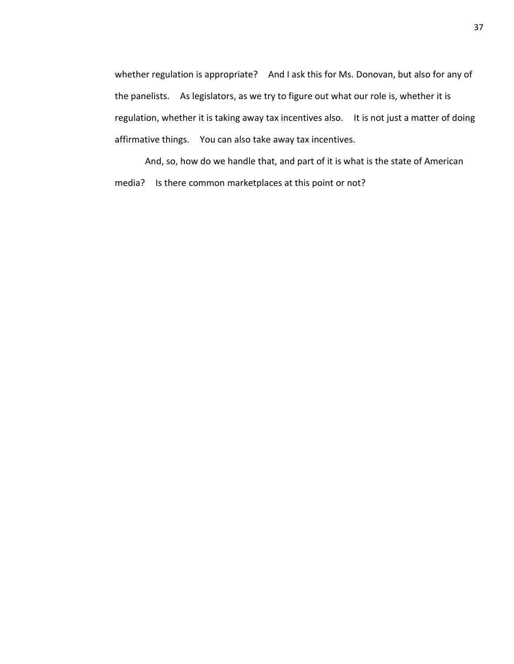whether regulation is appropriate? And I ask this for Ms. Donovan, but also for any of the panelists. As legislators, as we try to figure out what our role is, whether it is regulation, whether it is taking away tax incentives also. It is not just a matter of doing affirmative things. You can also take away tax incentives.

And, so, how do we handle that, and part of it is what is the state of American media? Is there common marketplaces at this point or not?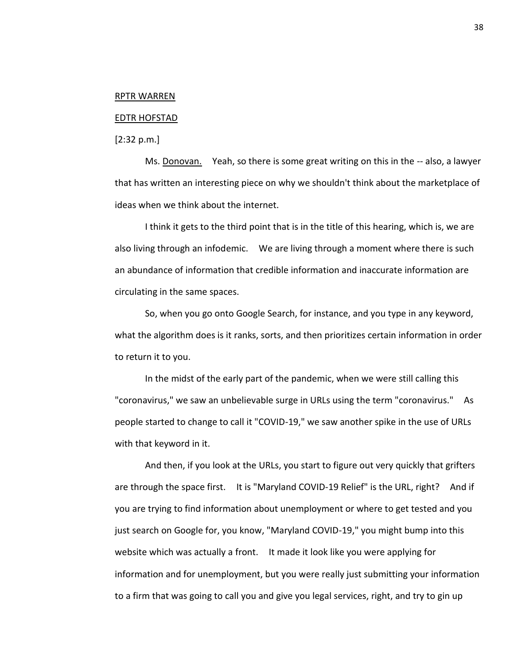#### RPTR WARREN

#### EDTR HOFSTAD

[2:32 p.m.]

Ms. Donovan. Yeah, so there is some great writing on this in the -- also, a lawyer that has written an interesting piece on why we shouldn't think about the marketplace of ideas when we think about the internet.

I think it gets to the third point that is in the title of this hearing, which is, we are also living through an infodemic. We are living through a moment where there is such an abundance of information that credible information and inaccurate information are circulating in the same spaces.

So, when you go onto Google Search, for instance, and you type in any keyword, what the algorithm does is it ranks, sorts, and then prioritizes certain information in order to return it to you.

In the midst of the early part of the pandemic, when we were still calling this "coronavirus," we saw an unbelievable surge in URLs using the term "coronavirus." As people started to change to call it "COVID-19," we saw another spike in the use of URLs with that keyword in it.

And then, if you look at the URLs, you start to figure out very quickly that grifters are through the space first. It is "Maryland COVID-19 Relief" is the URL, right? And if you are trying to find information about unemployment or where to get tested and you just search on Google for, you know, "Maryland COVID-19," you might bump into this website which was actually a front. It made it look like you were applying for information and for unemployment, but you were really just submitting your information to a firm that was going to call you and give you legal services, right, and try to gin up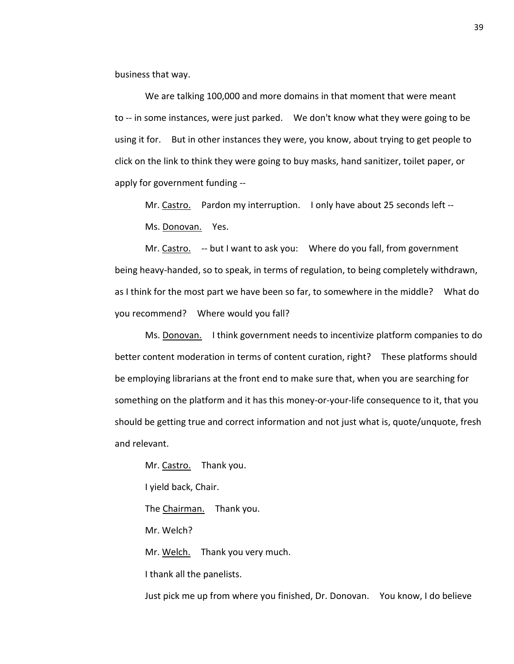business that way.

We are talking 100,000 and more domains in that moment that were meant to -- in some instances, were just parked. We don't know what they were going to be using it for. But in other instances they were, you know, about trying to get people to click on the link to think they were going to buy masks, hand sanitizer, toilet paper, or apply for government funding --

Mr. Castro. Pardon my interruption. I only have about 25 seconds left -- Ms. Donovan. Yes.

Mr. Castro. -- but I want to ask you: Where do you fall, from government being heavy-handed, so to speak, in terms of regulation, to being completely withdrawn, as I think for the most part we have been so far, to somewhere in the middle? What do you recommend? Where would you fall?

Ms. Donovan. I think government needs to incentivize platform companies to do better content moderation in terms of content curation, right? These platforms should be employing librarians at the front end to make sure that, when you are searching for something on the platform and it has this money-or-your-life consequence to it, that you should be getting true and correct information and not just what is, quote/unquote, fresh and relevant.

Mr. Castro. Thank you. I yield back, Chair. The Chairman. Thank you. Mr. Welch? Mr. Welch. Thank you very much. I thank all the panelists.

Just pick me up from where you finished, Dr. Donovan. You know, I do believe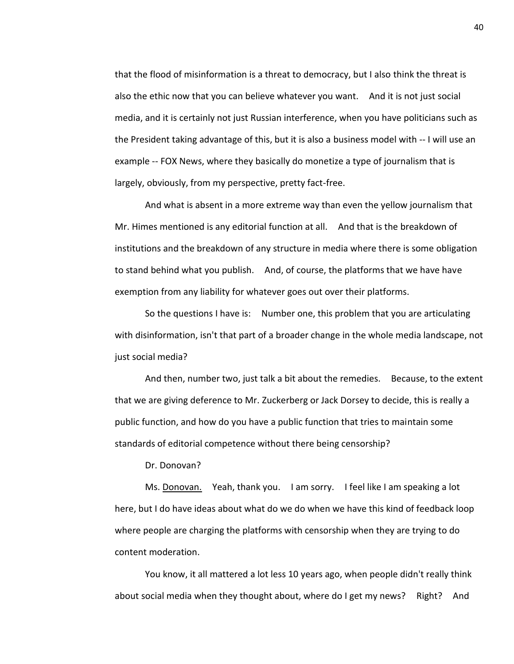that the flood of misinformation is a threat to democracy, but I also think the threat is also the ethic now that you can believe whatever you want. And it is not just social media, and it is certainly not just Russian interference, when you have politicians such as the President taking advantage of this, but it is also a business model with -- I will use an example -- FOX News, where they basically do monetize a type of journalism that is largely, obviously, from my perspective, pretty fact-free.

And what is absent in a more extreme way than even the yellow journalism that Mr. Himes mentioned is any editorial function at all. And that is the breakdown of institutions and the breakdown of any structure in media where there is some obligation to stand behind what you publish. And, of course, the platforms that we have have exemption from any liability for whatever goes out over their platforms.

So the questions I have is: Number one, this problem that you are articulating with disinformation, isn't that part of a broader change in the whole media landscape, not just social media?

And then, number two, just talk a bit about the remedies. Because, to the extent that we are giving deference to Mr. Zuckerberg or Jack Dorsey to decide, this is really a public function, and how do you have a public function that tries to maintain some standards of editorial competence without there being censorship?

Dr. Donovan?

Ms. Donovan. Yeah, thank you. I am sorry. I feel like I am speaking a lot here, but I do have ideas about what do we do when we have this kind of feedback loop where people are charging the platforms with censorship when they are trying to do content moderation.

You know, it all mattered a lot less 10 years ago, when people didn't really think about social media when they thought about, where do I get my news? Right? And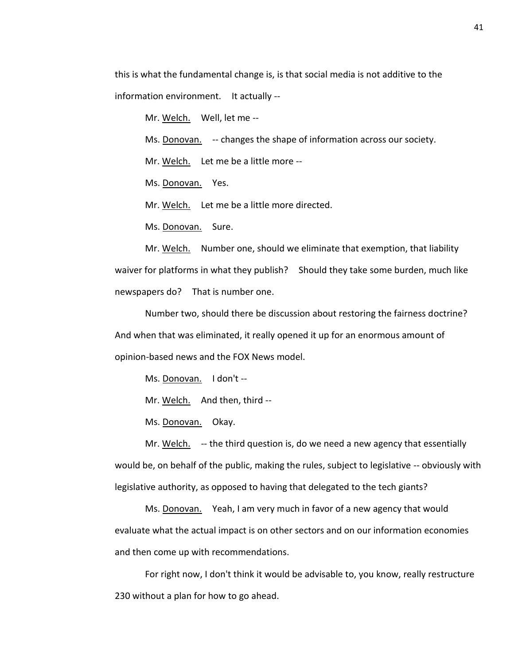this is what the fundamental change is, is that social media is not additive to the information environment. It actually --

Mr. Welch. Well, let me --

Ms. Donovan. -- changes the shape of information across our society.

Mr. Welch. Let me be a little more --

Ms. Donovan. Yes.

Mr. Welch. Let me be a little more directed.

Ms. Donovan. Sure.

Mr. Welch. Number one, should we eliminate that exemption, that liability waiver for platforms in what they publish? Should they take some burden, much like newspapers do? That is number one.

Number two, should there be discussion about restoring the fairness doctrine? And when that was eliminated, it really opened it up for an enormous amount of opinion-based news and the FOX News model.

Ms. Donovan. I don't --

Mr. Welch. And then, third --

Ms. Donovan. Okay.

Mr. Welch. -- the third question is, do we need a new agency that essentially would be, on behalf of the public, making the rules, subject to legislative -- obviously with legislative authority, as opposed to having that delegated to the tech giants?

Ms. Donovan. Yeah, I am very much in favor of a new agency that would evaluate what the actual impact is on other sectors and on our information economies and then come up with recommendations.

For right now, I don't think it would be advisable to, you know, really restructure 230 without a plan for how to go ahead.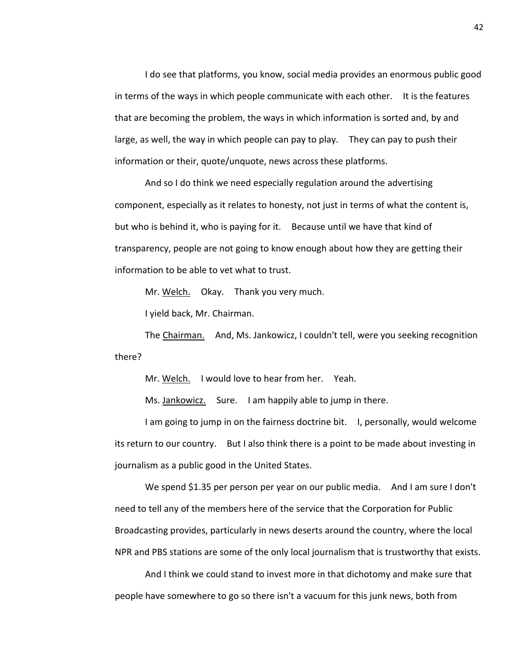I do see that platforms, you know, social media provides an enormous public good in terms of the ways in which people communicate with each other. It is the features that are becoming the problem, the ways in which information is sorted and, by and large, as well, the way in which people can pay to play. They can pay to push their information or their, quote/unquote, news across these platforms.

And so I do think we need especially regulation around the advertising component, especially as it relates to honesty, not just in terms of what the content is, but who is behind it, who is paying for it. Because until we have that kind of transparency, people are not going to know enough about how they are getting their information to be able to vet what to trust.

Mr. Welch. Okay. Thank you very much.

I yield back, Mr. Chairman.

The Chairman. And, Ms. Jankowicz, I couldn't tell, were you seeking recognition there?

Mr. Welch. I would love to hear from her. Yeah.

Ms. Jankowicz. Sure. I am happily able to jump in there.

I am going to jump in on the fairness doctrine bit. I, personally, would welcome its return to our country. But I also think there is a point to be made about investing in journalism as a public good in the United States.

We spend \$1.35 per person per year on our public media. And I am sure I don't need to tell any of the members here of the service that the Corporation for Public Broadcasting provides, particularly in news deserts around the country, where the local NPR and PBS stations are some of the only local journalism that is trustworthy that exists.

And I think we could stand to invest more in that dichotomy and make sure that people have somewhere to go so there isn't a vacuum for this junk news, both from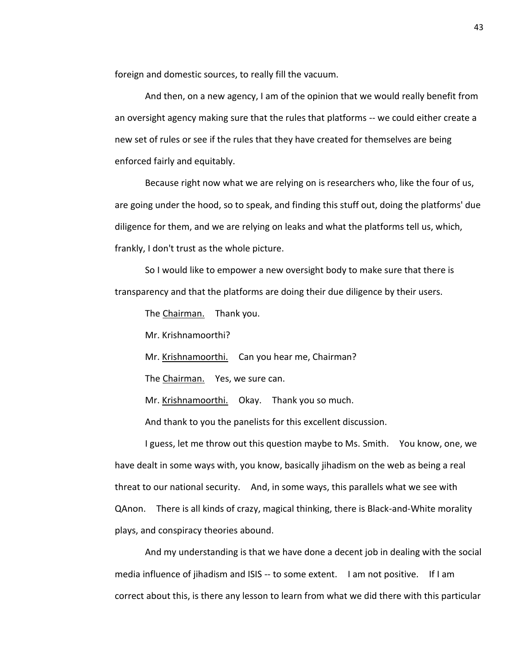foreign and domestic sources, to really fill the vacuum.

And then, on a new agency, I am of the opinion that we would really benefit from an oversight agency making sure that the rules that platforms -- we could either create a new set of rules or see if the rules that they have created for themselves are being enforced fairly and equitably.

Because right now what we are relying on is researchers who, like the four of us, are going under the hood, so to speak, and finding this stuff out, doing the platforms' due diligence for them, and we are relying on leaks and what the platforms tell us, which, frankly, I don't trust as the whole picture.

So I would like to empower a new oversight body to make sure that there is transparency and that the platforms are doing their due diligence by their users.

The Chairman. Thank you.

Mr. Krishnamoorthi?

Mr. Krishnamoorthi. Can you hear me, Chairman?

The Chairman. Yes, we sure can.

Mr. Krishnamoorthi. Okay. Thank you so much.

And thank to you the panelists for this excellent discussion.

I guess, let me throw out this question maybe to Ms. Smith. You know, one, we have dealt in some ways with, you know, basically jihadism on the web as being a real threat to our national security. And, in some ways, this parallels what we see with QAnon. There is all kinds of crazy, magical thinking, there is Black-and-White morality plays, and conspiracy theories abound.

And my understanding is that we have done a decent job in dealing with the social media influence of jihadism and ISIS -- to some extent. I am not positive. If I am correct about this, is there any lesson to learn from what we did there with this particular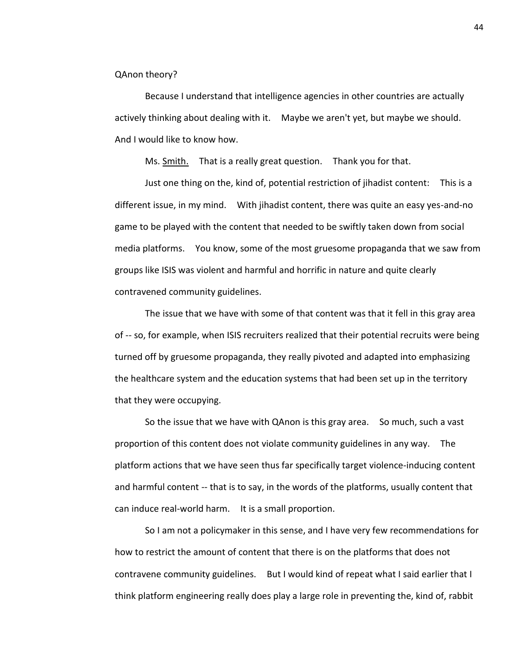QAnon theory?

Because I understand that intelligence agencies in other countries are actually actively thinking about dealing with it. Maybe we aren't yet, but maybe we should. And I would like to know how.

Ms. Smith. That is a really great question. Thank you for that.

Just one thing on the, kind of, potential restriction of jihadist content: This is a different issue, in my mind. With jihadist content, there was quite an easy yes-and-no game to be played with the content that needed to be swiftly taken down from social media platforms. You know, some of the most gruesome propaganda that we saw from groups like ISIS was violent and harmful and horrific in nature and quite clearly contravened community guidelines.

The issue that we have with some of that content was that it fell in this gray area of -- so, for example, when ISIS recruiters realized that their potential recruits were being turned off by gruesome propaganda, they really pivoted and adapted into emphasizing the healthcare system and the education systems that had been set up in the territory that they were occupying.

So the issue that we have with QAnon is this gray area. So much, such a vast proportion of this content does not violate community guidelines in any way. The platform actions that we have seen thus far specifically target violence-inducing content and harmful content -- that is to say, in the words of the platforms, usually content that can induce real-world harm. It is a small proportion.

So I am not a policymaker in this sense, and I have very few recommendations for how to restrict the amount of content that there is on the platforms that does not contravene community guidelines. But I would kind of repeat what I said earlier that I think platform engineering really does play a large role in preventing the, kind of, rabbit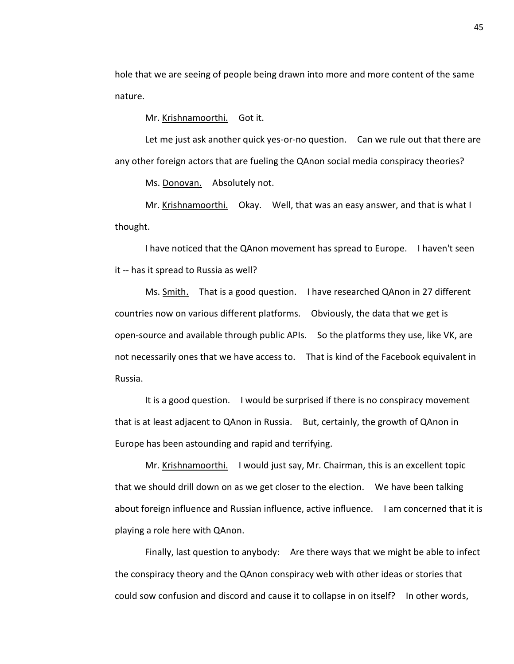hole that we are seeing of people being drawn into more and more content of the same nature.

Mr. Krishnamoorthi. Got it.

Let me just ask another quick yes-or-no question. Can we rule out that there are any other foreign actors that are fueling the QAnon social media conspiracy theories?

Ms. Donovan. Absolutely not.

Mr. Krishnamoorthi. Okay. Well, that was an easy answer, and that is what I thought.

I have noticed that the QAnon movement has spread to Europe. I haven't seen it -- has it spread to Russia as well?

Ms. Smith. That is a good question. I have researched QAnon in 27 different countries now on various different platforms. Obviously, the data that we get is open-source and available through public APIs. So the platforms they use, like VK, are not necessarily ones that we have access to. That is kind of the Facebook equivalent in Russia.

It is a good question. I would be surprised if there is no conspiracy movement that is at least adjacent to QAnon in Russia. But, certainly, the growth of QAnon in Europe has been astounding and rapid and terrifying.

Mr. Krishnamoorthi. I would just say, Mr. Chairman, this is an excellent topic that we should drill down on as we get closer to the election. We have been talking about foreign influence and Russian influence, active influence. I am concerned that it is playing a role here with QAnon.

Finally, last question to anybody: Are there ways that we might be able to infect the conspiracy theory and the QAnon conspiracy web with other ideas or stories that could sow confusion and discord and cause it to collapse in on itself? In other words,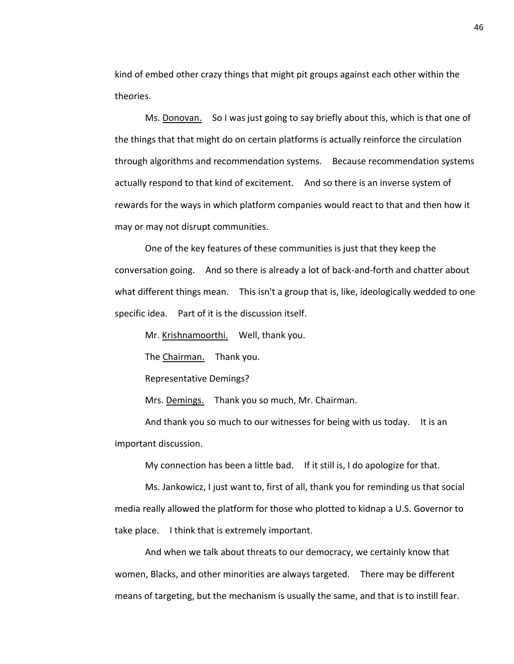kind of embed other crazy things that might pit groups against each other within the theories.

Ms. Donovan. So I was just going to say briefly about this, which is that one of the things that that might do on certain platforms is actually reinforce the circulation through algorithms and recommendation systems. Because recommendation systems actually respond to that kind of excitement. And so there is an inverse system of rewards for the ways in which platform companies would react to that and then how it may or may not disrupt communities.

One of the key features of these communities is just that they keep the conversation going. And so there is already a lot of back-and-forth and chatter about what different things mean. This isn't a group that is, like, ideologically wedded to one specific idea. Part of it is the discussion itself.

Mr. Krishnamoorthi. Well, thank you.

The Chairman. Thank you.

Representative Demings?

Mrs. Demings. Thank you so much, Mr. Chairman.

And thank you so much to our witnesses for being with us today. It is an important discussion.

My connection has been a little bad. If it still is, I do apologize for that.

Ms. Jankowicz, I just want to, first of all, thank you for reminding us that social media really allowed the platform for those who plotted to kidnap a U.S. Governor to take place. I think that is extremely important.

And when we talk about threats to our democracy, we certainly know that women, Blacks, and other minorities are always targeted. There may be different means of targeting, but the mechanism is usually the same, and that is to instill fear.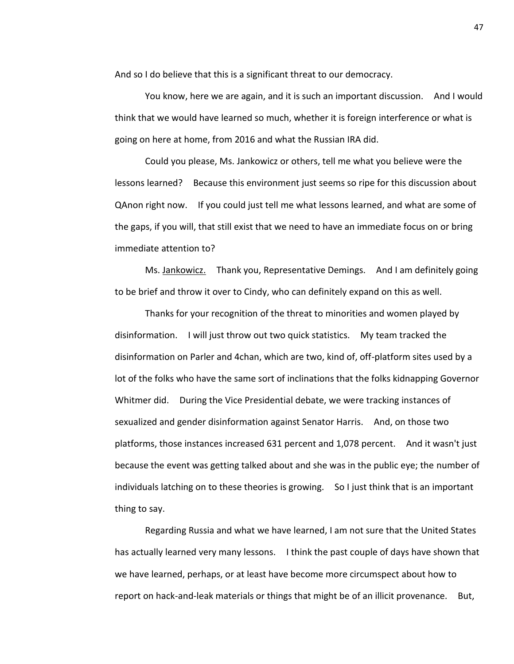And so I do believe that this is a significant threat to our democracy.

You know, here we are again, and it is such an important discussion. And I would think that we would have learned so much, whether it is foreign interference or what is going on here at home, from 2016 and what the Russian IRA did.

Could you please, Ms. Jankowicz or others, tell me what you believe were the lessons learned? Because this environment just seems so ripe for this discussion about QAnon right now. If you could just tell me what lessons learned, and what are some of the gaps, if you will, that still exist that we need to have an immediate focus on or bring immediate attention to?

Ms. Jankowicz. Thank you, Representative Demings. And I am definitely going to be brief and throw it over to Cindy, who can definitely expand on this as well.

Thanks for your recognition of the threat to minorities and women played by disinformation. I will just throw out two quick statistics. My team tracked the disinformation on Parler and 4chan, which are two, kind of, off-platform sites used by a lot of the folks who have the same sort of inclinations that the folks kidnapping Governor Whitmer did. During the Vice Presidential debate, we were tracking instances of sexualized and gender disinformation against Senator Harris. And, on those two platforms, those instances increased 631 percent and 1,078 percent. And it wasn't just because the event was getting talked about and she was in the public eye; the number of individuals latching on to these theories is growing. So I just think that is an important thing to say.

Regarding Russia and what we have learned, I am not sure that the United States has actually learned very many lessons. I think the past couple of days have shown that we have learned, perhaps, or at least have become more circumspect about how to report on hack-and-leak materials or things that might be of an illicit provenance. But,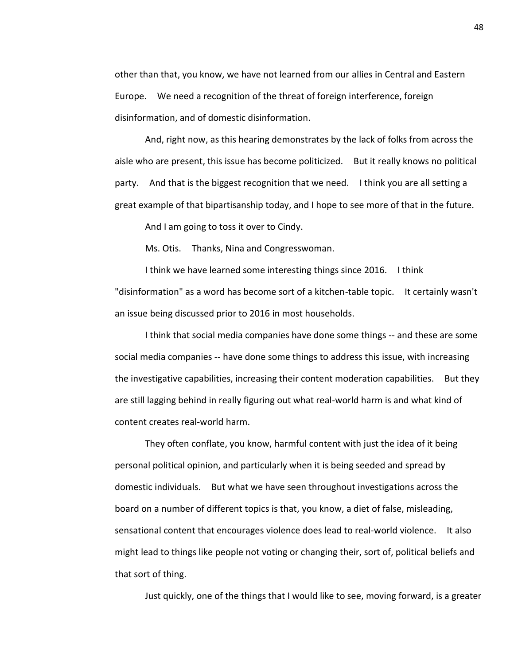other than that, you know, we have not learned from our allies in Central and Eastern Europe. We need a recognition of the threat of foreign interference, foreign disinformation, and of domestic disinformation.

And, right now, as this hearing demonstrates by the lack of folks from across the aisle who are present, this issue has become politicized. But it really knows no political party. And that is the biggest recognition that we need. I think you are all setting a great example of that bipartisanship today, and I hope to see more of that in the future.

And I am going to toss it over to Cindy.

Ms. Otis. Thanks, Nina and Congresswoman.

I think we have learned some interesting things since 2016. I think "disinformation" as a word has become sort of a kitchen-table topic. It certainly wasn't an issue being discussed prior to 2016 in most households.

I think that social media companies have done some things -- and these are some social media companies -- have done some things to address this issue, with increasing the investigative capabilities, increasing their content moderation capabilities. But they are still lagging behind in really figuring out what real-world harm is and what kind of content creates real-world harm.

They often conflate, you know, harmful content with just the idea of it being personal political opinion, and particularly when it is being seeded and spread by domestic individuals. But what we have seen throughout investigations across the board on a number of different topics is that, you know, a diet of false, misleading, sensational content that encourages violence does lead to real-world violence. It also might lead to things like people not voting or changing their, sort of, political beliefs and that sort of thing.

Just quickly, one of the things that I would like to see, moving forward, is a greater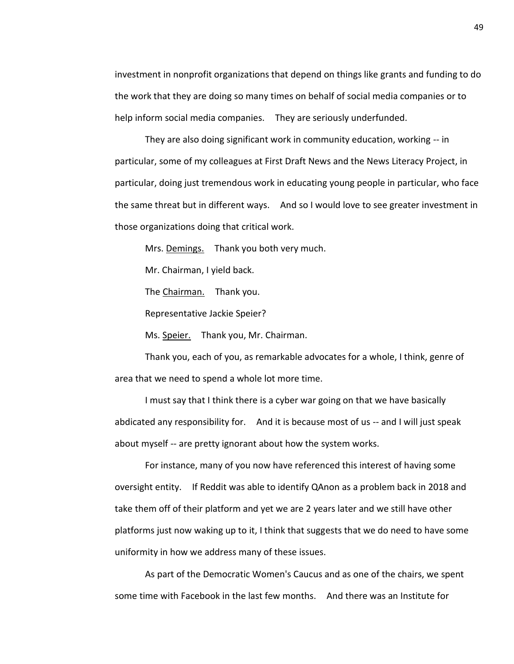investment in nonprofit organizations that depend on things like grants and funding to do the work that they are doing so many times on behalf of social media companies or to help inform social media companies. They are seriously underfunded.

They are also doing significant work in community education, working -- in particular, some of my colleagues at First Draft News and the News Literacy Project, in particular, doing just tremendous work in educating young people in particular, who face the same threat but in different ways. And so I would love to see greater investment in those organizations doing that critical work.

Mrs. Demings. Thank you both very much.

Mr. Chairman, I yield back.

The Chairman. Thank you.

Representative Jackie Speier?

Ms. Speier. Thank you, Mr. Chairman.

Thank you, each of you, as remarkable advocates for a whole, I think, genre of area that we need to spend a whole lot more time.

I must say that I think there is a cyber war going on that we have basically abdicated any responsibility for. And it is because most of us -- and I will just speak about myself -- are pretty ignorant about how the system works.

For instance, many of you now have referenced this interest of having some oversight entity. If Reddit was able to identify QAnon as a problem back in 2018 and take them off of their platform and yet we are 2 years later and we still have other platforms just now waking up to it, I think that suggests that we do need to have some uniformity in how we address many of these issues.

As part of the Democratic Women's Caucus and as one of the chairs, we spent some time with Facebook in the last few months. And there was an Institute for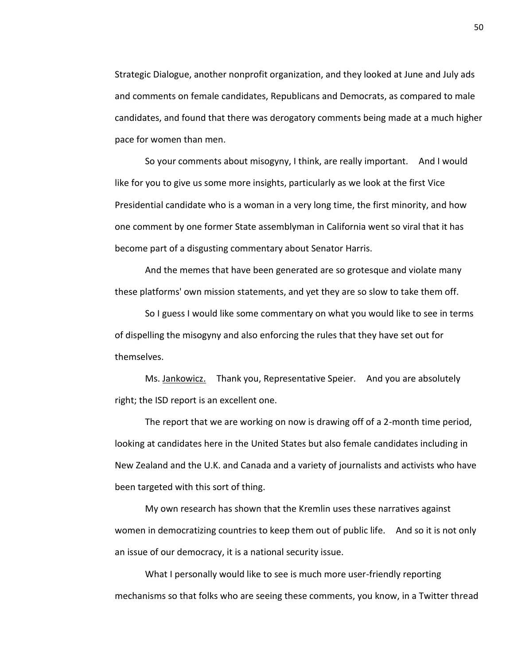Strategic Dialogue, another nonprofit organization, and they looked at June and July ads and comments on female candidates, Republicans and Democrats, as compared to male candidates, and found that there was derogatory comments being made at a much higher pace for women than men.

So your comments about misogyny, I think, are really important. And I would like for you to give us some more insights, particularly as we look at the first Vice Presidential candidate who is a woman in a very long time, the first minority, and how one comment by one former State assemblyman in California went so viral that it has become part of a disgusting commentary about Senator Harris.

And the memes that have been generated are so grotesque and violate many these platforms' own mission statements, and yet they are so slow to take them off.

So I guess I would like some commentary on what you would like to see in terms of dispelling the misogyny and also enforcing the rules that they have set out for themselves.

Ms. Jankowicz. Thank you, Representative Speier. And you are absolutely right; the ISD report is an excellent one.

The report that we are working on now is drawing off of a 2-month time period, looking at candidates here in the United States but also female candidates including in New Zealand and the U.K. and Canada and a variety of journalists and activists who have been targeted with this sort of thing.

My own research has shown that the Kremlin uses these narratives against women in democratizing countries to keep them out of public life. And so it is not only an issue of our democracy, it is a national security issue.

What I personally would like to see is much more user-friendly reporting mechanisms so that folks who are seeing these comments, you know, in a Twitter thread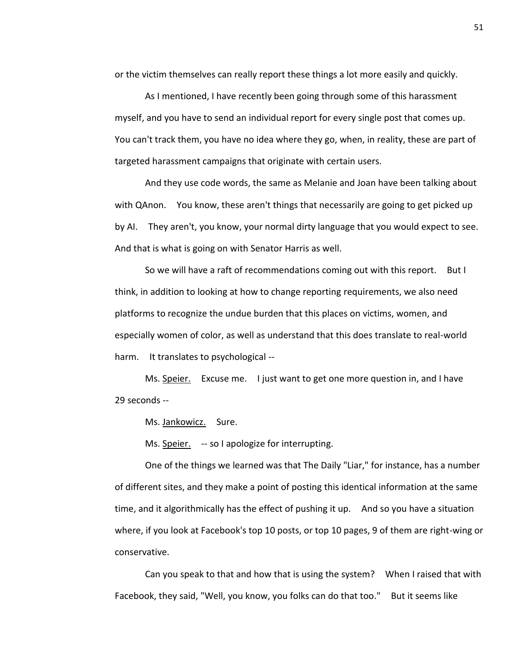or the victim themselves can really report these things a lot more easily and quickly.

As I mentioned, I have recently been going through some of this harassment myself, and you have to send an individual report for every single post that comes up. You can't track them, you have no idea where they go, when, in reality, these are part of targeted harassment campaigns that originate with certain users.

And they use code words, the same as Melanie and Joan have been talking about with QAnon. You know, these aren't things that necessarily are going to get picked up by AI. They aren't, you know, your normal dirty language that you would expect to see. And that is what is going on with Senator Harris as well.

So we will have a raft of recommendations coming out with this report. But I think, in addition to looking at how to change reporting requirements, we also need platforms to recognize the undue burden that this places on victims, women, and especially women of color, as well as understand that this does translate to real-world harm. It translates to psychological --

Ms. Speier. Excuse me. I just want to get one more question in, and I have 29 seconds --

Ms. Jankowicz. Sure.

Ms. Speier. -- so I apologize for interrupting.

One of the things we learned was that The Daily "Liar," for instance, has a number of different sites, and they make a point of posting this identical information at the same time, and it algorithmically has the effect of pushing it up. And so you have a situation where, if you look at Facebook's top 10 posts, or top 10 pages, 9 of them are right-wing or conservative.

Can you speak to that and how that is using the system? When I raised that with Facebook, they said, "Well, you know, you folks can do that too." But it seems like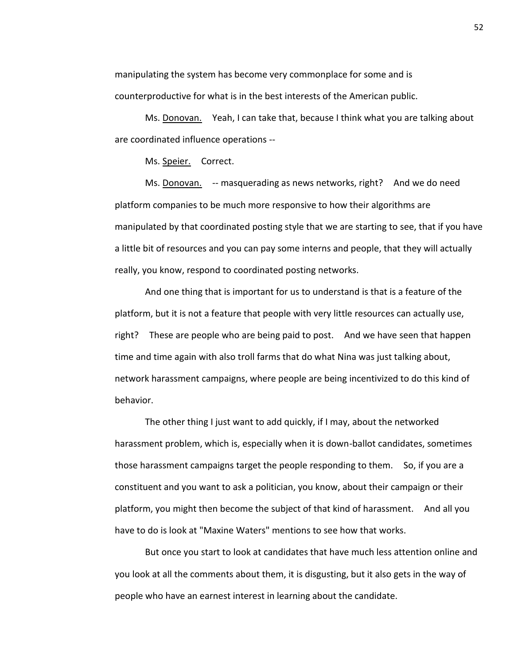manipulating the system has become very commonplace for some and is counterproductive for what is in the best interests of the American public.

Ms. Donovan. Yeah, I can take that, because I think what you are talking about are coordinated influence operations --

Ms. Speier. Correct.

Ms. Donovan. -- masquerading as news networks, right? And we do need platform companies to be much more responsive to how their algorithms are manipulated by that coordinated posting style that we are starting to see, that if you have a little bit of resources and you can pay some interns and people, that they will actually really, you know, respond to coordinated posting networks.

And one thing that is important for us to understand is that is a feature of the platform, but it is not a feature that people with very little resources can actually use, right? These are people who are being paid to post. And we have seen that happen time and time again with also troll farms that do what Nina was just talking about, network harassment campaigns, where people are being incentivized to do this kind of behavior.

The other thing I just want to add quickly, if I may, about the networked harassment problem, which is, especially when it is down-ballot candidates, sometimes those harassment campaigns target the people responding to them. So, if you are a constituent and you want to ask a politician, you know, about their campaign or their platform, you might then become the subject of that kind of harassment. And all you have to do is look at "Maxine Waters" mentions to see how that works.

But once you start to look at candidates that have much less attention online and you look at all the comments about them, it is disgusting, but it also gets in the way of people who have an earnest interest in learning about the candidate.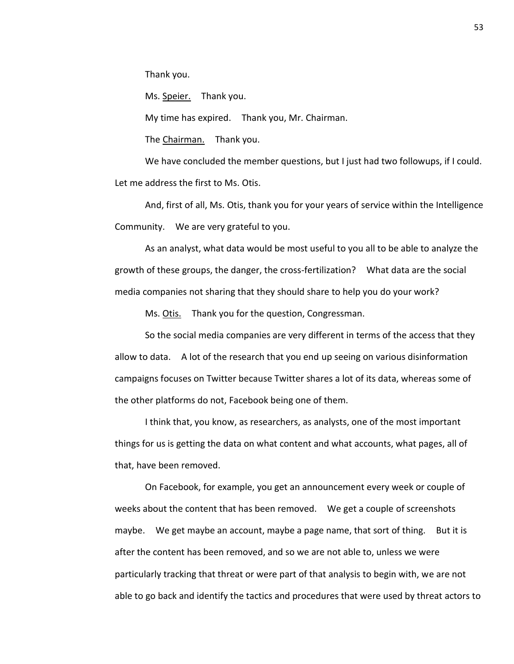Thank you.

Ms. Speier. Thank you.

My time has expired. Thank you, Mr. Chairman.

The Chairman. Thank you.

We have concluded the member questions, but I just had two followups, if I could. Let me address the first to Ms. Otis.

And, first of all, Ms. Otis, thank you for your years of service within the Intelligence Community. We are very grateful to you.

As an analyst, what data would be most useful to you all to be able to analyze the growth of these groups, the danger, the cross-fertilization? What data are the social media companies not sharing that they should share to help you do your work?

Ms. Otis. Thank you for the question, Congressman.

So the social media companies are very different in terms of the access that they allow to data. A lot of the research that you end up seeing on various disinformation campaigns focuses on Twitter because Twitter shares a lot of its data, whereas some of the other platforms do not, Facebook being one of them.

I think that, you know, as researchers, as analysts, one of the most important things for us is getting the data on what content and what accounts, what pages, all of that, have been removed.

On Facebook, for example, you get an announcement every week or couple of weeks about the content that has been removed. We get a couple of screenshots maybe. We get maybe an account, maybe a page name, that sort of thing. But it is after the content has been removed, and so we are not able to, unless we were particularly tracking that threat or were part of that analysis to begin with, we are not able to go back and identify the tactics and procedures that were used by threat actors to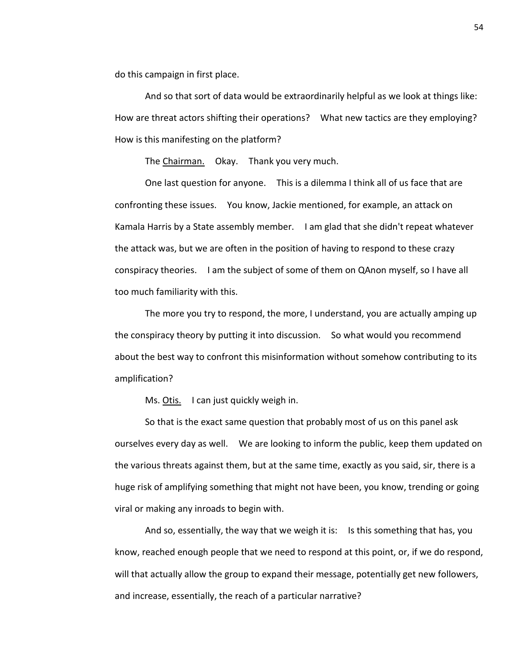do this campaign in first place.

And so that sort of data would be extraordinarily helpful as we look at things like: How are threat actors shifting their operations? What new tactics are they employing? How is this manifesting on the platform?

The Chairman. Okay. Thank you very much.

One last question for anyone. This is a dilemma I think all of us face that are confronting these issues. You know, Jackie mentioned, for example, an attack on Kamala Harris by a State assembly member. I am glad that she didn't repeat whatever the attack was, but we are often in the position of having to respond to these crazy conspiracy theories. I am the subject of some of them on QAnon myself, so I have all too much familiarity with this.

The more you try to respond, the more, I understand, you are actually amping up the conspiracy theory by putting it into discussion. So what would you recommend about the best way to confront this misinformation without somehow contributing to its amplification?

Ms. Otis. I can just quickly weigh in.

So that is the exact same question that probably most of us on this panel ask ourselves every day as well. We are looking to inform the public, keep them updated on the various threats against them, but at the same time, exactly as you said, sir, there is a huge risk of amplifying something that might not have been, you know, trending or going viral or making any inroads to begin with.

And so, essentially, the way that we weigh it is: Is this something that has, you know, reached enough people that we need to respond at this point, or, if we do respond, will that actually allow the group to expand their message, potentially get new followers, and increase, essentially, the reach of a particular narrative?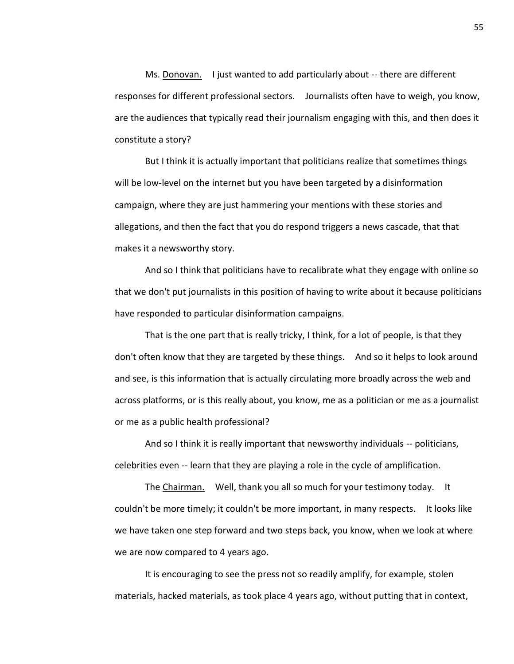Ms. Donovan. I just wanted to add particularly about -- there are different responses for different professional sectors. Journalists often have to weigh, you know, are the audiences that typically read their journalism engaging with this, and then does it constitute a story?

But I think it is actually important that politicians realize that sometimes things will be low-level on the internet but you have been targeted by a disinformation campaign, where they are just hammering your mentions with these stories and allegations, and then the fact that you do respond triggers a news cascade, that that makes it a newsworthy story.

And so I think that politicians have to recalibrate what they engage with online so that we don't put journalists in this position of having to write about it because politicians have responded to particular disinformation campaigns.

That is the one part that is really tricky, I think, for a lot of people, is that they don't often know that they are targeted by these things. And so it helps to look around and see, is this information that is actually circulating more broadly across the web and across platforms, or is this really about, you know, me as a politician or me as a journalist or me as a public health professional?

And so I think it is really important that newsworthy individuals -- politicians, celebrities even -- learn that they are playing a role in the cycle of amplification.

The Chairman. Well, thank you all so much for your testimony today. It couldn't be more timely; it couldn't be more important, in many respects. It looks like we have taken one step forward and two steps back, you know, when we look at where we are now compared to 4 years ago.

It is encouraging to see the press not so readily amplify, for example, stolen materials, hacked materials, as took place 4 years ago, without putting that in context,